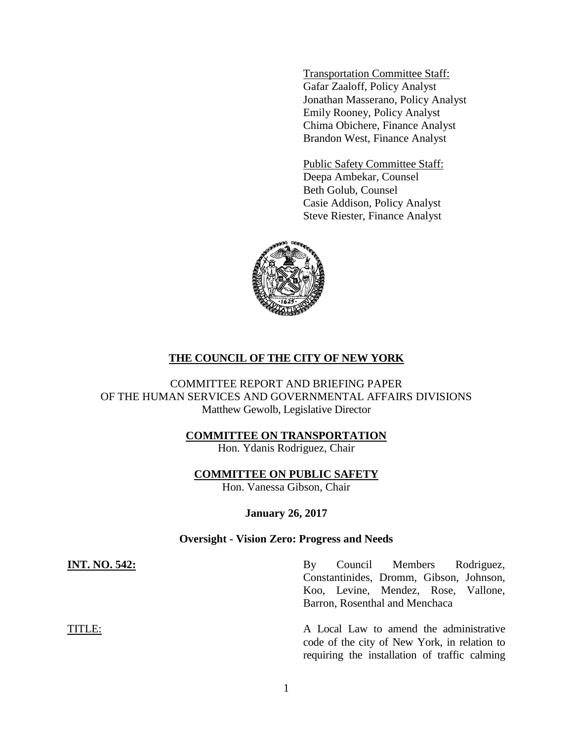Transportation Committee Staff: Gafar Zaaloff, Policy Analyst Jonathan Masserano, Policy Analyst Emily Rooney, Policy Analyst Chima Obichere, Finance Analyst Brandon West, Finance Analyst

Public Safety Committee Staff: Deepa Ambekar, Counsel Beth Golub, Counsel Casie Addison, Policy Analyst Steve Riester, Finance Analyst



# **THE COUNCIL OF THE CITY OF NEW YORK**

COMMITTEE REPORT AND BRIEFING PAPER OF THE HUMAN SERVICES AND GOVERNMENTAL AFFAIRS DIVISIONS Matthew Gewolb, Legislative Director

# **COMMITTEE ON TRANSPORTATION**

Hon. Ydanis Rodriguez, Chair

# **COMMITTEE ON PUBLIC SAFETY**

Hon. Vanessa Gibson, Chair

# **January 26, 2017**

## **Oversight - Vision Zero: Progress and Needs**

**INT. NO. 542:** By Council Members Rodriguez, Constantinides, Dromm, Gibson, Johnson, Koo, Levine, Mendez, Rose, Vallone, Barron, Rosenthal and Menchaca

TITLE: A Local Law to amend the administrative code of the city of New York, in relation to requiring the installation of traffic calming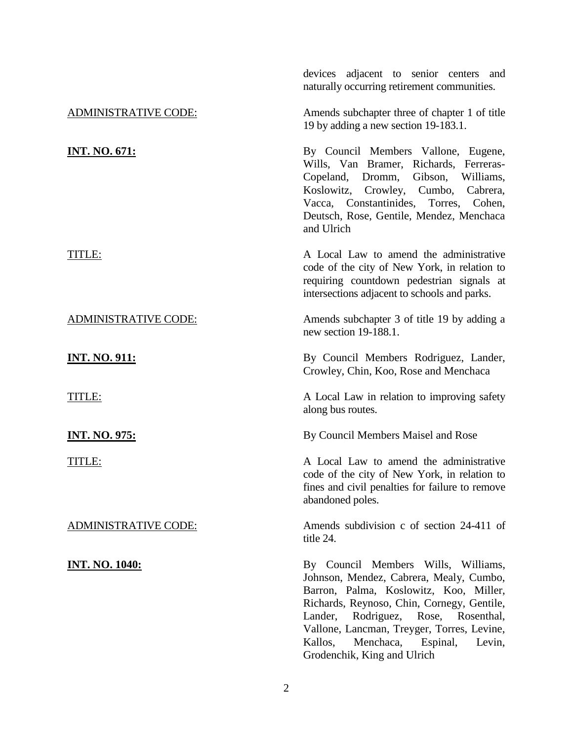|                             | devices adjacent to senior centers and<br>naturally occurring retirement communities.                                                                                                                                                                                                                                                 |  |  |
|-----------------------------|---------------------------------------------------------------------------------------------------------------------------------------------------------------------------------------------------------------------------------------------------------------------------------------------------------------------------------------|--|--|
| <b>ADMINISTRATIVE CODE:</b> | Amends subchapter three of chapter 1 of title<br>19 by adding a new section 19-183.1.                                                                                                                                                                                                                                                 |  |  |
| <u>INT. NO. 671:</u>        | By Council Members Vallone, Eugene,<br>Wills, Van Bramer, Richards, Ferreras-<br>Copeland, Dromm, Gibson, Williams,<br>Koslowitz, Crowley, Cumbo, Cabrera,<br>Vacca, Constantinides, Torres,<br>Cohen,<br>Deutsch, Rose, Gentile, Mendez, Menchaca<br>and Ulrich                                                                      |  |  |
| TITLE:                      | A Local Law to amend the administrative<br>code of the city of New York, in relation to<br>requiring countdown pedestrian signals at<br>intersections adjacent to schools and parks.                                                                                                                                                  |  |  |
| <b>ADMINISTRATIVE CODE:</b> | Amends subchapter 3 of title 19 by adding a<br>new section 19-188.1.                                                                                                                                                                                                                                                                  |  |  |
| <u>INT. NO. 911:</u>        | By Council Members Rodriguez, Lander,<br>Crowley, Chin, Koo, Rose and Menchaca                                                                                                                                                                                                                                                        |  |  |
| TITLE:                      | A Local Law in relation to improving safety<br>along bus routes.                                                                                                                                                                                                                                                                      |  |  |
| <b>INT. NO. 975:</b>        | By Council Members Maisel and Rose                                                                                                                                                                                                                                                                                                    |  |  |
| TITLE:                      | A Local Law to amend the administrative<br>code of the city of New York, in relation to<br>fines and civil penalties for failure to remove<br>abandoned poles.                                                                                                                                                                        |  |  |
| <b>ADMINISTRATIVE CODE:</b> | Amends subdivision c of section 24-411 of<br>title 24.                                                                                                                                                                                                                                                                                |  |  |
| <u>INT. NO. 1040:</u>       | By Council Members Wills, Williams,<br>Johnson, Mendez, Cabrera, Mealy, Cumbo,<br>Barron, Palma, Koslowitz, Koo, Miller,<br>Richards, Reynoso, Chin, Cornegy, Gentile,<br>Lander, Rodriguez, Rose, Rosenthal,<br>Vallone, Lancman, Treyger, Torres, Levine,<br>Menchaca,<br>Kallos,<br>Espinal, Levin,<br>Grodenchik, King and Ulrich |  |  |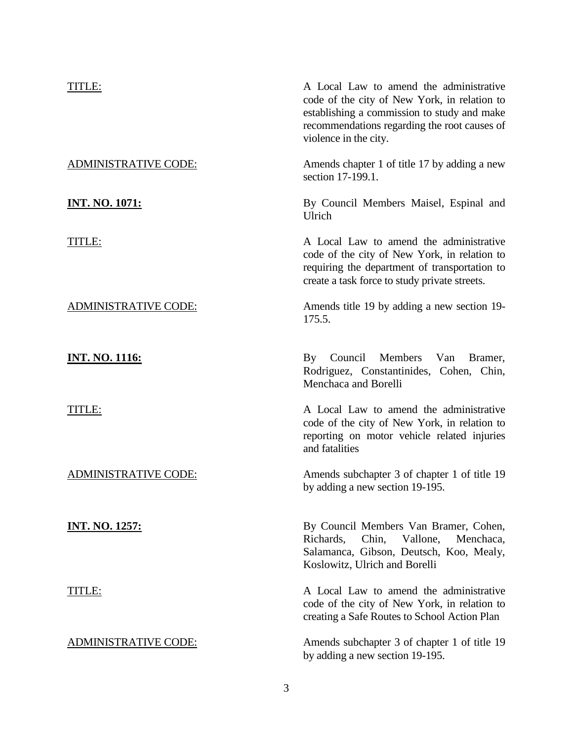| TITLE:                      | A Local Law to amend the administrative<br>code of the city of New York, in relation to<br>establishing a commission to study and make<br>recommendations regarding the root causes of<br>violence in the city. |  |  |
|-----------------------------|-----------------------------------------------------------------------------------------------------------------------------------------------------------------------------------------------------------------|--|--|
| <b>ADMINISTRATIVE CODE:</b> | Amends chapter 1 of title 17 by adding a new<br>section 17-199.1.                                                                                                                                               |  |  |
| <u>INT. NO. 1071:</u>       | By Council Members Maisel, Espinal and<br>Ulrich                                                                                                                                                                |  |  |
| TITLE:                      | A Local Law to amend the administrative<br>code of the city of New York, in relation to<br>requiring the department of transportation to<br>create a task force to study private streets.                       |  |  |
| <b>ADMINISTRATIVE CODE:</b> | Amends title 19 by adding a new section 19-<br>175.5.                                                                                                                                                           |  |  |
| <u>INT. NO. 1116:</u>       | Council<br>Members<br>$\mathbf{B}\mathbf{y}$<br>Van<br>Bramer,<br>Rodriguez, Constantinides, Cohen, Chin,<br>Menchaca and Borelli                                                                               |  |  |
| TITLE:                      | A Local Law to amend the administrative<br>code of the city of New York, in relation to<br>reporting on motor vehicle related injuries<br>and fatalities                                                        |  |  |
| <b>ADMINISTRATIVE CODE:</b> | Amends subchapter 3 of chapter 1 of title 19<br>by adding a new section 19-195.                                                                                                                                 |  |  |
| <b>INT. NO. 1257:</b>       | By Council Members Van Bramer, Cohen,<br>Richards,<br>Chin,<br>Vallone,<br>Menchaca,<br>Salamanca, Gibson, Deutsch, Koo, Mealy,<br>Koslowitz, Ulrich and Borelli                                                |  |  |
| TITLE:                      | A Local Law to amend the administrative<br>code of the city of New York, in relation to<br>creating a Safe Routes to School Action Plan                                                                         |  |  |
| <u>ADMINISTRATIVE CODE:</u> | Amends subchapter 3 of chapter 1 of title 19<br>by adding a new section 19-195.                                                                                                                                 |  |  |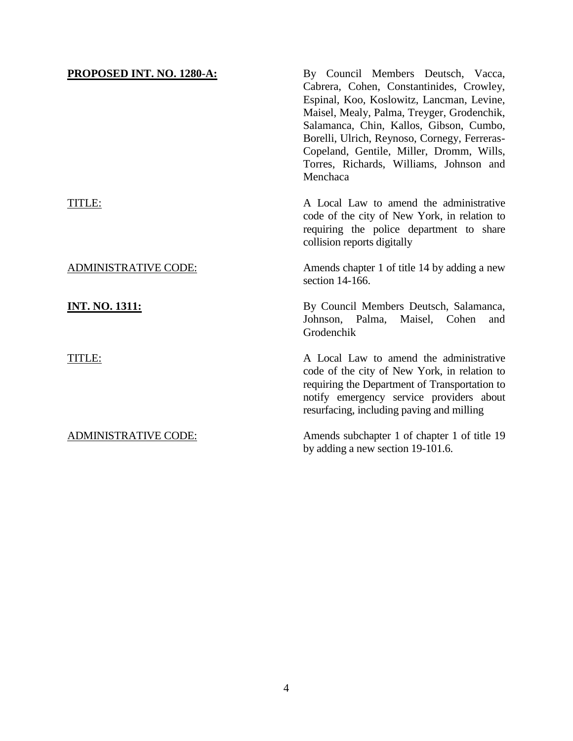| PROPOSED INT. NO. 1280-A:   | By Council Members Deutsch, Vacca,<br>Cabrera, Cohen, Constantinides, Crowley,<br>Espinal, Koo, Koslowitz, Lancman, Levine,<br>Maisel, Mealy, Palma, Treyger, Grodenchik,<br>Salamanca, Chin, Kallos, Gibson, Cumbo,<br>Borelli, Ulrich, Reynoso, Cornegy, Ferreras-<br>Copeland, Gentile, Miller, Dromm, Wills,<br>Torres, Richards, Williams, Johnson and<br>Menchaca |
|-----------------------------|-------------------------------------------------------------------------------------------------------------------------------------------------------------------------------------------------------------------------------------------------------------------------------------------------------------------------------------------------------------------------|
| TITLE:                      | A Local Law to amend the administrative<br>code of the city of New York, in relation to<br>requiring the police department to share<br>collision reports digitally                                                                                                                                                                                                      |
| <b>ADMINISTRATIVE CODE:</b> | Amends chapter 1 of title 14 by adding a new<br>section 14-166.                                                                                                                                                                                                                                                                                                         |
| <b>INT. NO. 1311:</b>       | By Council Members Deutsch, Salamanca,<br>Johnson, Palma, Maisel, Cohen<br>and<br>Grodenchik                                                                                                                                                                                                                                                                            |
| TITLE:                      | A Local Law to amend the administrative<br>code of the city of New York, in relation to<br>requiring the Department of Transportation to<br>notify emergency service providers about<br>resurfacing, including paving and milling                                                                                                                                       |
| <b>ADMINISTRATIVE CODE:</b> | Amends subchapter 1 of chapter 1 of title 19<br>by adding a new section 19-101.6.                                                                                                                                                                                                                                                                                       |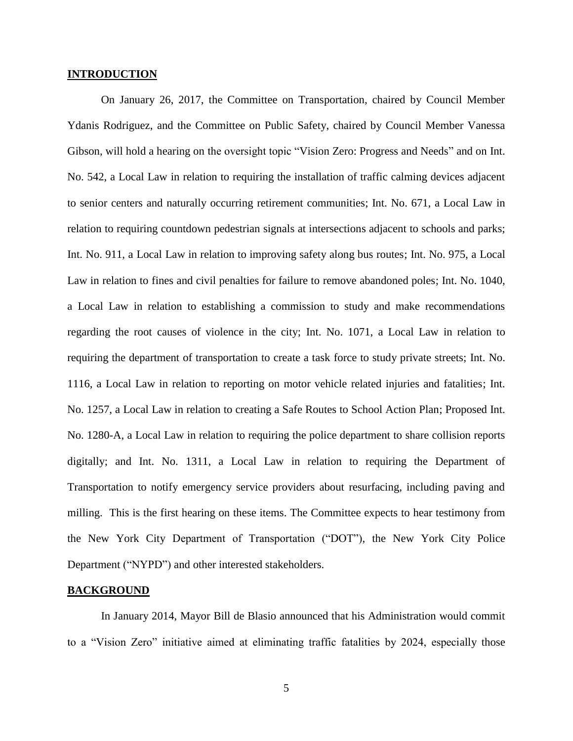#### **INTRODUCTION**

On January 26, 2017, the Committee on Transportation, chaired by Council Member Ydanis Rodriguez, and the Committee on Public Safety, chaired by Council Member Vanessa Gibson, will hold a hearing on the oversight topic "Vision Zero: Progress and Needs" and on Int. No. 542, a Local Law in relation to requiring the installation of traffic calming devices adjacent to senior centers and naturally occurring retirement communities; Int. No. 671, a Local Law in relation to requiring countdown pedestrian signals at intersections adjacent to schools and parks; Int. No. 911, a Local Law in relation to improving safety along bus routes; Int. No. 975, a Local Law in relation to fines and civil penalties for failure to remove abandoned poles; Int. No. 1040, a Local Law in relation to establishing a commission to study and make recommendations regarding the root causes of violence in the city; Int. No. 1071, a Local Law in relation to requiring the department of transportation to create a task force to study private streets; Int. No. 1116, a Local Law in relation to reporting on motor vehicle related injuries and fatalities; Int. No. 1257, a Local Law in relation to creating a Safe Routes to School Action Plan; Proposed Int. No. 1280-A, a Local Law in relation to requiring the police department to share collision reports digitally; and Int. No. 1311, a Local Law in relation to requiring the Department of Transportation to notify emergency service providers about resurfacing, including paving and milling. This is the first hearing on these items. The Committee expects to hear testimony from the New York City Department of Transportation ("DOT"), the New York City Police Department ("NYPD") and other interested stakeholders.

### **BACKGROUND**

In January 2014, Mayor Bill de Blasio announced that his Administration would commit to a "Vision Zero" initiative aimed at eliminating traffic fatalities by 2024, especially those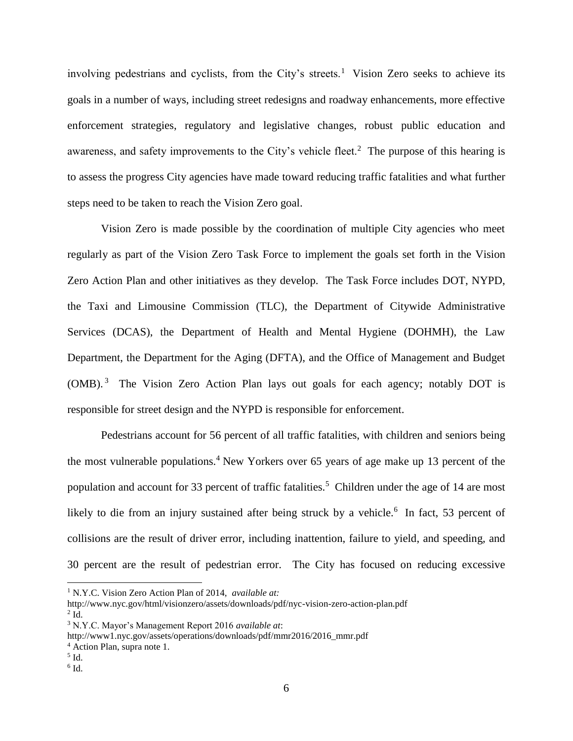involving pedestrians and cyclists, from the City's streets.<sup>1</sup> Vision Zero seeks to achieve its goals in a number of ways, including street redesigns and roadway enhancements, more effective enforcement strategies, regulatory and legislative changes, robust public education and awareness, and safety improvements to the City's vehicle fleet.<sup>2</sup> The purpose of this hearing is to assess the progress City agencies have made toward reducing traffic fatalities and what further steps need to be taken to reach the Vision Zero goal.

Vision Zero is made possible by the coordination of multiple City agencies who meet regularly as part of the Vision Zero Task Force to implement the goals set forth in the Vision Zero Action Plan and other initiatives as they develop. The Task Force includes DOT, NYPD, the Taxi and Limousine Commission (TLC), the Department of Citywide Administrative Services (DCAS), the Department of Health and Mental Hygiene (DOHMH), the Law Department, the Department for the Aging (DFTA), and the Office of Management and Budget (OMB).<sup>3</sup> The Vision Zero Action Plan lays out goals for each agency; notably DOT is responsible for street design and the NYPD is responsible for enforcement.

Pedestrians account for 56 percent of all traffic fatalities, with children and seniors being the most vulnerable populations.<sup>4</sup> New Yorkers over 65 years of age make up 13 percent of the population and account for 33 percent of traffic fatalities.<sup>5</sup> Children under the age of 14 are most likely to die from an injury sustained after being struck by a vehicle.<sup>6</sup> In fact, 53 percent of collisions are the result of driver error, including inattention, failure to yield, and speeding, and 30 percent are the result of pedestrian error. The City has focused on reducing excessive

l

<sup>1</sup> N.Y.C. Vision Zero Action Plan of 2014, *available at:*

http://www.nyc.gov/html/visionzero/assets/downloads/pdf/nyc-vision-zero-action-plan.pdf  $2$  Id.

<sup>3</sup> N.Y.C. Mayor's Management Report 2016 *available at*:

http://www1.nyc.gov/assets/operations/downloads/pdf/mmr2016/2016\_mmr.pdf

<sup>4</sup> Action Plan, supra note 1.

<sup>5</sup> Id.

 $^6$  Id.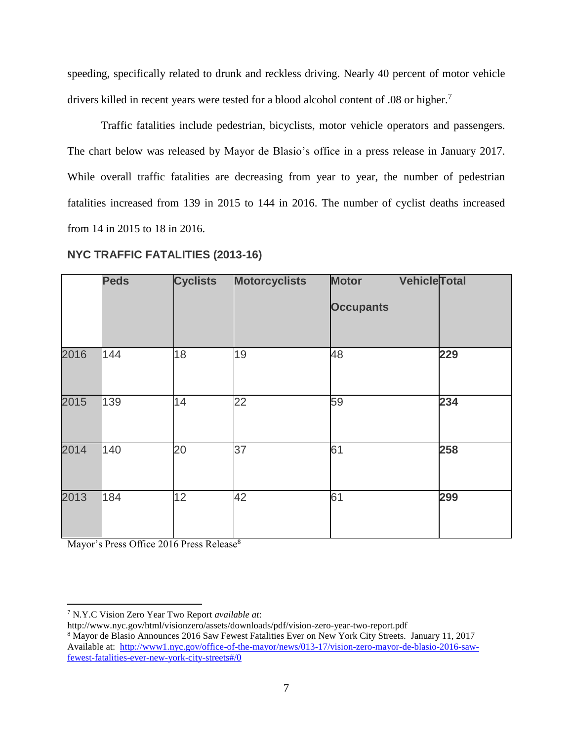speeding, specifically related to drunk and reckless driving. Nearly 40 percent of motor vehicle drivers killed in recent years were tested for a blood alcohol content of .08 or higher.<sup>7</sup>

Traffic fatalities include pedestrian, bicyclists, motor vehicle operators and passengers. The chart below was released by Mayor de Blasio's office in a press release in January 2017. While overall traffic fatalities are decreasing from year to year, the number of pedestrian fatalities increased from 139 in 2015 to 144 in 2016. The number of cyclist deaths increased from 14 in 2015 to 18 in 2016.

|      | <b>Peds</b> | <b>Cyclists</b> | <b>Motorcyclists</b> | <b>Vehicle Total</b><br><b>Motor</b><br><b>Occupants</b> |     |
|------|-------------|-----------------|----------------------|----------------------------------------------------------|-----|
| 2016 | 144         | 18              | 19                   | 48                                                       | 229 |
| 2015 | 139         | 14              | 22                   | 59                                                       | 234 |
| 2014 | 140         | 20              | 37                   | 61                                                       | 258 |
| 2013 | 184         | 12              | 42                   | 61                                                       | 299 |

# **NYC TRAFFIC FATALITIES (2013-16)**

Mayor's Press Office 2016 Press Release<sup>8</sup>

 $\overline{a}$ 

<sup>7</sup> N.Y.C Vision Zero Year Two Report *available at*:

http://www.nyc.gov/html/visionzero/assets/downloads/pdf/vision-zero-year-two-report.pdf

<sup>8</sup> Mayor de Blasio Announces 2016 Saw Fewest Fatalities Ever on New York City Streets. January 11, 2017 Available at: [http://www1.nyc.gov/office-of-the-mayor/news/013-17/vision-zero-mayor-de-blasio-2016-saw](http://www1.nyc.gov/office-of-the-mayor/news/013-17/vision-zero-mayor-de-blasio-2016-saw-fewest-fatalities-ever-new-york-city-streets#/0)[fewest-fatalities-ever-new-york-city-streets#/0](http://www1.nyc.gov/office-of-the-mayor/news/013-17/vision-zero-mayor-de-blasio-2016-saw-fewest-fatalities-ever-new-york-city-streets#/0)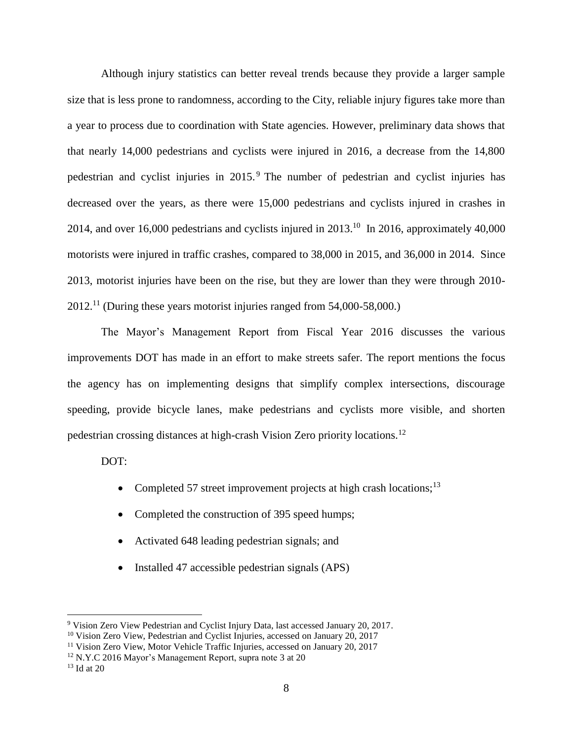Although injury statistics can better reveal trends because they provide a larger sample size that is less prone to randomness, according to the City, reliable injury figures take more than a year to process due to coordination with State agencies. However, preliminary data shows that that nearly 14,000 pedestrians and cyclists were injured in 2016, a decrease from the 14,800 pedestrian and cyclist injuries in 2015. <sup>9</sup> The number of pedestrian and cyclist injuries has decreased over the years, as there were 15,000 pedestrians and cyclists injured in crashes in 2014, and over 16,000 pedestrians and cyclists injured in  $2013$ .<sup>10</sup> In 2016, approximately 40,000 motorists were injured in traffic crashes, compared to 38,000 in 2015, and 36,000 in 2014. Since 2013, motorist injuries have been on the rise, but they are lower than they were through 2010- 2012.<sup>11</sup> (During these years motorist injuries ranged from 54,000-58,000.)

The Mayor's Management Report from Fiscal Year 2016 discusses the various improvements DOT has made in an effort to make streets safer. The report mentions the focus the agency has on implementing designs that simplify complex intersections, discourage speeding, provide bicycle lanes, make pedestrians and cyclists more visible, and shorten pedestrian crossing distances at high-crash Vision Zero priority locations.<sup>12</sup>

DOT:

- Completed 57 street improvement projects at high crash locations;<sup>13</sup>
- Completed the construction of 395 speed humps;
- Activated 648 leading pedestrian signals; and
- Installed 47 accessible pedestrian signals (APS)

 $\overline{a}$ 

<sup>9</sup> Vision Zero View Pedestrian and Cyclist Injury Data, last accessed January 20, 2017.

<sup>&</sup>lt;sup>10</sup> Vision Zero View, Pedestrian and Cyclist Injuries, accessed on January 20, 2017

<sup>&</sup>lt;sup>11</sup> Vision Zero View, Motor Vehicle Traffic Injuries, accessed on January 20, 2017

<sup>12</sup> N.Y.C 2016 Mayor's Management Report, supra note 3 at 20

 $13$  Id at 20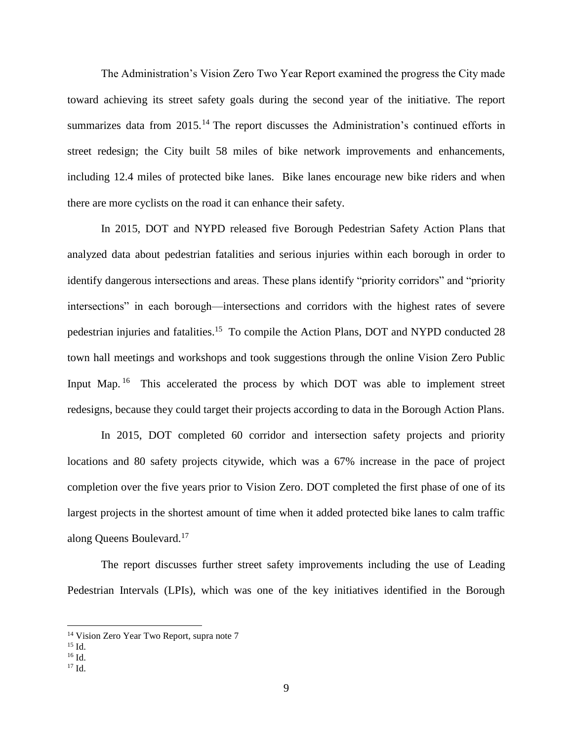The Administration's Vision Zero Two Year Report examined the progress the City made toward achieving its street safety goals during the second year of the initiative. The report summarizes data from 2015.<sup>14</sup> The report discusses the Administration's continued efforts in street redesign; the City built 58 miles of bike network improvements and enhancements, including 12.4 miles of protected bike lanes. Bike lanes encourage new bike riders and when there are more cyclists on the road it can enhance their safety.

In 2015, DOT and NYPD released five Borough Pedestrian Safety Action Plans that analyzed data about pedestrian fatalities and serious injuries within each borough in order to identify dangerous intersections and areas. These plans identify "priority corridors" and "priority intersections" in each borough—intersections and corridors with the highest rates of severe pedestrian injuries and fatalities.<sup>15</sup> To compile the Action Plans, DOT and NYPD conducted 28 town hall meetings and workshops and took suggestions through the online Vision Zero Public Input Map.<sup>16</sup> This accelerated the process by which DOT was able to implement street redesigns, because they could target their projects according to data in the Borough Action Plans.

In 2015, DOT completed 60 corridor and intersection safety projects and priority locations and 80 safety projects citywide, which was a 67% increase in the pace of project completion over the five years prior to Vision Zero. DOT completed the first phase of one of its largest projects in the shortest amount of time when it added protected bike lanes to calm traffic along Queens Boulevard.<sup>17</sup>

The report discusses further street safety improvements including the use of Leading Pedestrian Intervals (LPIs), which was one of the key initiatives identified in the Borough

 $\overline{a}$ 

<sup>&</sup>lt;sup>14</sup> Vision Zero Year Two Report, supra note 7

 $15$  Id.

<sup>16</sup> Id.

 $17$  Id.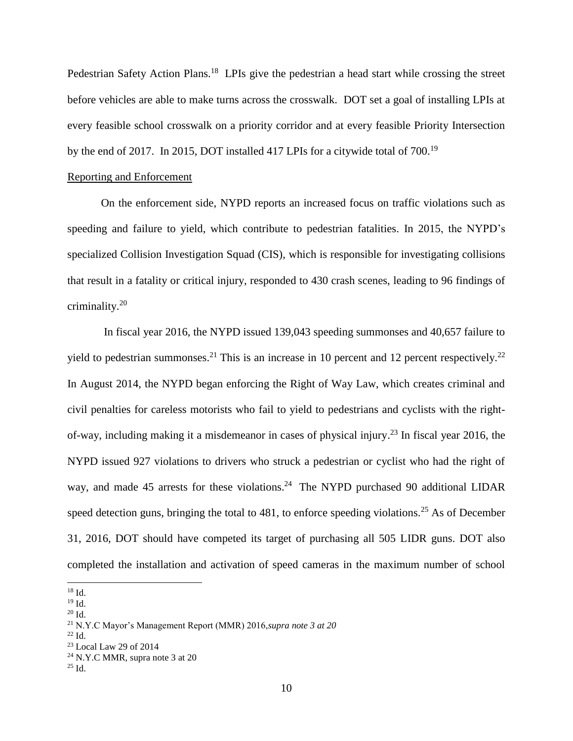Pedestrian Safety Action Plans.<sup>18</sup> LPIs give the pedestrian a head start while crossing the street before vehicles are able to make turns across the crosswalk. DOT set a goal of installing LPIs at every feasible school crosswalk on a priority corridor and at every feasible Priority Intersection by the end of 2017. In 2015, DOT installed 417 LPIs for a citywide total of 700.<sup>19</sup>

#### Reporting and Enforcement

On the enforcement side, NYPD reports an increased focus on traffic violations such as speeding and failure to yield, which contribute to pedestrian fatalities. In 2015, the NYPD's specialized Collision Investigation Squad (CIS), which is responsible for investigating collisions that result in a fatality or critical injury, responded to 430 crash scenes, leading to 96 findings of criminality.<sup>20</sup>

In fiscal year 2016, the NYPD issued 139,043 speeding summonses and 40,657 failure to yield to pedestrian summonses.<sup>21</sup> This is an increase in 10 percent and 12 percent respectively.<sup>22</sup> In August 2014, the NYPD began enforcing the Right of Way Law, which creates criminal and civil penalties for careless motorists who fail to yield to pedestrians and cyclists with the rightof-way, including making it a misdemeanor in cases of physical injury.<sup>23</sup> In fiscal year 2016, the NYPD issued 927 violations to drivers who struck a pedestrian or cyclist who had the right of way, and made 45 arrests for these violations.<sup>24</sup> The NYPD purchased 90 additional LIDAR speed detection guns, bringing the total to  $481$ , to enforce speeding violations.<sup>25</sup> As of December 31, 2016, DOT should have competed its target of purchasing all 505 LIDR guns. DOT also completed the installation and activation of speed cameras in the maximum number of school

l <sup>18</sup> Id.

 $19$  Id.

<sup>20</sup> Id.

<sup>21</sup> N.Y.C Mayor's Management Report (MMR) 2016,*supra note 3 at 20*

 $^{22}$  Id.

<sup>23</sup> Local Law 29 of 2014

<sup>&</sup>lt;sup>24</sup> N.Y.C MMR, supra note 3 at 20

<sup>25</sup> Id.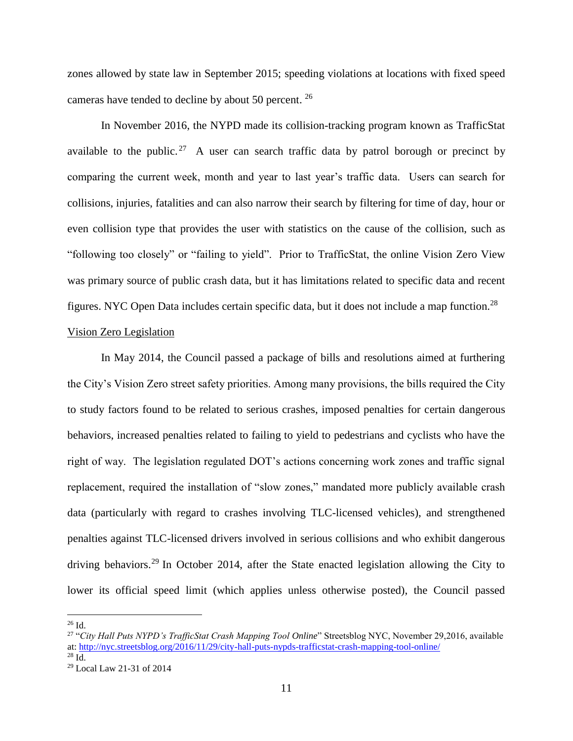zones allowed by state law in September 2015; speeding violations at locations with fixed speed cameras have tended to decline by about 50 percent. <sup>26</sup>

In November 2016, the NYPD made its collision-tracking program known as TrafficStat available to the public.<sup>27</sup> A user can search traffic data by patrol borough or precinct by comparing the current week, month and year to last year's traffic data. Users can search for collisions, injuries, fatalities and can also narrow their search by filtering for time of day, hour or even collision type that provides the user with statistics on the cause of the collision, such as "following too closely" or "failing to yield". Prior to TrafficStat, the online Vision Zero View was primary source of public crash data, but it has limitations related to specific data and recent figures. NYC Open Data includes certain specific data, but it does not include a map function.<sup>28</sup>

## Vision Zero Legislation

In May 2014, the Council passed a package of bills and resolutions aimed at furthering the City's Vision Zero street safety priorities. Among many provisions, the bills required the City to study factors found to be related to serious crashes, imposed penalties for certain dangerous behaviors, increased penalties related to failing to yield to pedestrians and cyclists who have the right of way. The legislation regulated DOT's actions concerning work zones and traffic signal replacement, required the installation of "slow zones," mandated more publicly available crash data (particularly with regard to crashes involving TLC-licensed vehicles), and strengthened penalties against TLC-licensed drivers involved in serious collisions and who exhibit dangerous driving behaviors.<sup>29</sup> In October 2014, after the State enacted legislation allowing the City to lower its official speed limit (which applies unless otherwise posted), the Council passed

 $\overline{\phantom{a}}$ 

 $26$  Id.

<sup>27</sup> "*City Hall Puts NYPD's TrafficStat Crash Mapping Tool Online*" Streetsblog NYC, November 29,2016, available at:<http://nyc.streetsblog.org/2016/11/29/city-hall-puts-nypds-trafficstat-crash-mapping-tool-online/> <sup>28</sup> Id.

<sup>29</sup> Local Law 21-31 of 2014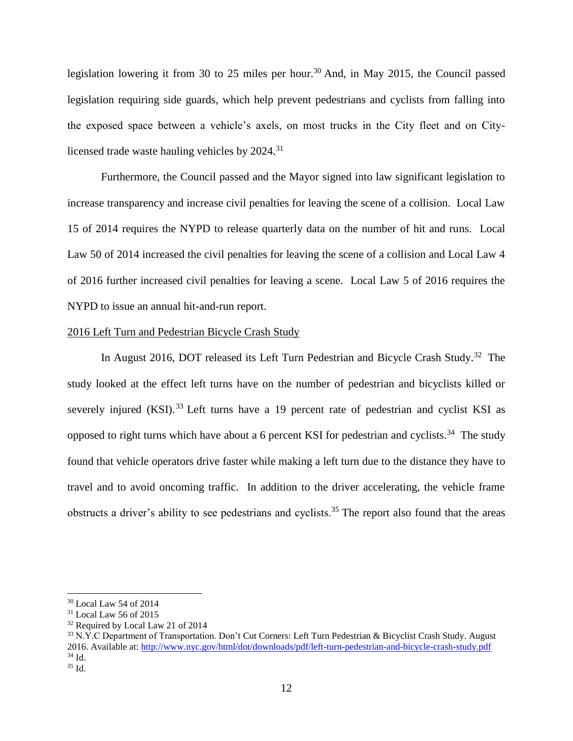legislation lowering it from 30 to 25 miles per hour.<sup>30</sup> And, in May 2015, the Council passed legislation requiring side guards, which help prevent pedestrians and cyclists from falling into the exposed space between a vehicle's axels, on most trucks in the City fleet and on Citylicensed trade waste hauling vehicles by 2024.<sup>31</sup>

Furthermore, the Council passed and the Mayor signed into law significant legislation to increase transparency and increase civil penalties for leaving the scene of a collision. Local Law 15 of 2014 requires the NYPD to release quarterly data on the number of hit and runs. Local Law 50 of 2014 increased the civil penalties for leaving the scene of a collision and Local Law 4 of 2016 further increased civil penalties for leaving a scene. Local Law 5 of 2016 requires the NYPD to issue an annual hit-and-run report.

#### 2016 Left Turn and Pedestrian Bicycle Crash Study

In August 2016, DOT released its Left Turn Pedestrian and Bicycle Crash Study.<sup>32</sup> The study looked at the effect left turns have on the number of pedestrian and bicyclists killed or severely injured  $(KSI)$ <sup>33</sup> Left turns have a 19 percent rate of pedestrian and cyclist KSI as opposed to right turns which have about a 6 percent KSI for pedestrian and cyclists.<sup>34</sup> The study found that vehicle operators drive faster while making a left turn due to the distance they have to travel and to avoid oncoming traffic. In addition to the driver accelerating, the vehicle frame obstructs a driver's ability to see pedestrians and cyclists.<sup>35</sup> The report also found that the areas

 $\overline{\phantom{a}}$ 

<sup>30</sup> Local Law 54 of 2014

<sup>31</sup> Local Law 56 of 2015

<sup>&</sup>lt;sup>32</sup> Required by Local Law 21 of 2014

<sup>33</sup> N.Y.C Department of Transportation. Don't Cut Corners: Left Turn Pedestrian & Bicyclist Crash Study. August 2016. Available at:<http://www.nyc.gov/html/dot/downloads/pdf/left-turn-pedestrian-and-bicycle-crash-study.pdf> <sup>34</sup> Id.

<sup>35</sup> Id.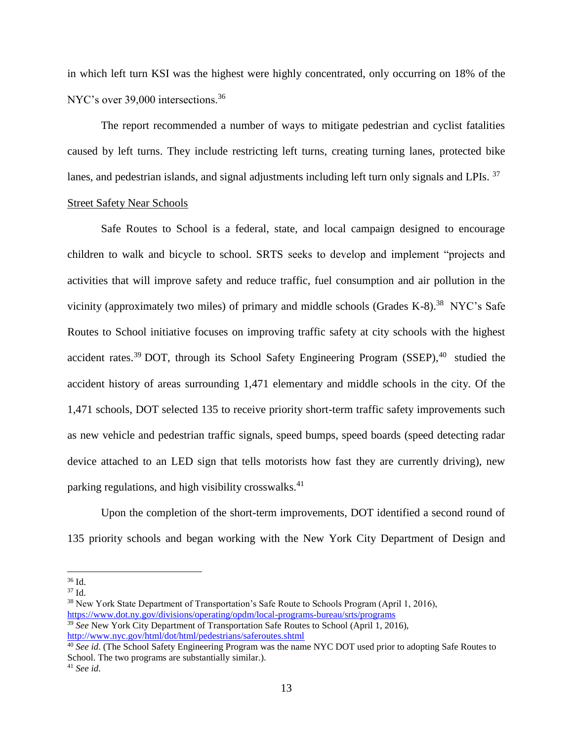in which left turn KSI was the highest were highly concentrated, only occurring on 18% of the NYC's over 39,000 intersections.<sup>36</sup>

The report recommended a number of ways to mitigate pedestrian and cyclist fatalities caused by left turns. They include restricting left turns, creating turning lanes, protected bike lanes, and pedestrian islands, and signal adjustments including left turn only signals and LPIs. <sup>37</sup> Street Safety Near Schools

Safe Routes to School is a federal, state, and local campaign designed to encourage children to walk and bicycle to school. SRTS seeks to develop and implement "projects and activities that will improve safety and reduce traffic, fuel consumption and air pollution in the vicinity (approximately two miles) of primary and middle schools (Grades  $K-8$ ).<sup>38</sup> NYC's Safe Routes to School initiative focuses on improving traffic safety at city schools with the highest accident rates.<sup>39</sup> DOT, through its School Safety Engineering Program (SSEP), $40$  studied the accident history of areas surrounding 1,471 elementary and middle schools in the city. Of the 1,471 schools, DOT selected 135 to receive priority short-term traffic safety improvements such as new vehicle and pedestrian traffic signals, speed bumps, speed boards (speed detecting radar device attached to an LED sign that tells motorists how fast they are currently driving), new parking regulations, and high visibility crosswalks. $41$ 

Upon the completion of the short-term improvements, DOT identified a second round of 135 priority schools and began working with the New York City Department of Design and

 $\overline{\phantom{a}}$ 

<sup>36</sup> Id.

<sup>37</sup> Id.

<sup>&</sup>lt;sup>38</sup> New York State Department of Transportation's Safe Route to Schools Program (April 1, 2016), <https://www.dot.ny.gov/divisions/operating/opdm/local-programs-bureau/srts/programs>

<sup>39</sup> *See* New York City Department of Transportation Safe Routes to School (April 1, 2016), <http://www.nyc.gov/html/dot/html/pedestrians/saferoutes.shtml>

<sup>40</sup> *See id*. (The School Safety Engineering Program was the name NYC DOT used prior to adopting Safe Routes to School. The two programs are substantially similar.).

<sup>41</sup> *See id*.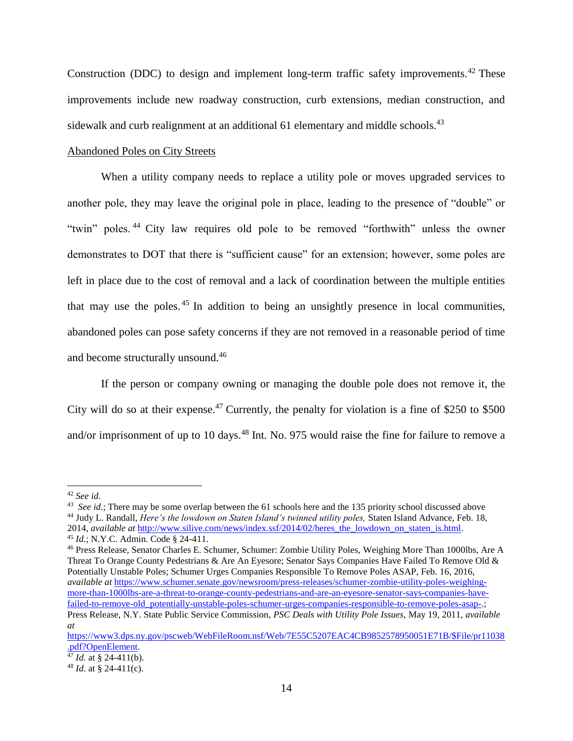Construction (DDC) to design and implement long-term traffic safety improvements.<sup>42</sup> These improvements include new roadway construction, curb extensions, median construction, and sidewalk and curb realignment at an additional 61 elementary and middle schools.<sup>43</sup>

## Abandoned Poles on City Streets

When a utility company needs to replace a utility pole or moves upgraded services to another pole, they may leave the original pole in place, leading to the presence of "double" or "twin" poles. <sup>44</sup> City law requires old pole to be removed "forthwith" unless the owner demonstrates to DOT that there is "sufficient cause" for an extension; however, some poles are left in place due to the cost of removal and a lack of coordination between the multiple entities that may use the poles. <sup>45</sup> In addition to being an unsightly presence in local communities, abandoned poles can pose safety concerns if they are not removed in a reasonable period of time and become structurally unsound.<sup>46</sup>

If the person or company owning or managing the double pole does not remove it, the City will do so at their expense.<sup>47</sup> Currently, the penalty for violation is a fine of \$250 to \$500 and/or imprisonment of up to 10 days.<sup>48</sup> Int. No. 975 would raise the fine for failure to remove a

l

<sup>46</sup> Press Release, Senator Charles E. Schumer, Schumer: Zombie Utility Poles, Weighing More Than 1000lbs, Are A Threat To Orange County Pedestrians & Are An Eyesore; Senator Says Companies Have Failed To Remove Old & Potentially Unstable Poles; Schumer Urges Companies Responsible To Remove Poles ASAP, Feb. 16, 2016, *available at* [https://www.schumer.senate.gov/newsroom/press-releases/schumer-zombie-utility-poles-weighing](https://www.schumer.senate.gov/newsroom/press-releases/schumer-zombie-utility-poles-weighing-more-than-1000lbs-are-a-threat-to-orange-county-pedestrians-and-are-an-eyesore-senator-says-companies-have-failed-to-remove-old_potentially-unstable-poles-schumer-urges-companies-responsible-to-remove-poles-asap-)[more-than-1000lbs-are-a-threat-to-orange-county-pedestrians-and-are-an-eyesore-senator-says-companies-have](https://www.schumer.senate.gov/newsroom/press-releases/schumer-zombie-utility-poles-weighing-more-than-1000lbs-are-a-threat-to-orange-county-pedestrians-and-are-an-eyesore-senator-says-companies-have-failed-to-remove-old_potentially-unstable-poles-schumer-urges-companies-responsible-to-remove-poles-asap-)[failed-to-remove-old\\_potentially-unstable-poles-schumer-urges-companies-responsible-to-remove-poles-asap-.](https://www.schumer.senate.gov/newsroom/press-releases/schumer-zombie-utility-poles-weighing-more-than-1000lbs-are-a-threat-to-orange-county-pedestrians-and-are-an-eyesore-senator-says-companies-have-failed-to-remove-old_potentially-unstable-poles-schumer-urges-companies-responsible-to-remove-poles-asap-); Press Release, N.Y. State Public Service Commission, *PSC Deals with Utility Pole Issues,* May 19, 2011, *available at* 

<sup>42</sup> *See id*.

<sup>&</sup>lt;sup>43</sup> *See id*.; There may be some overlap between the 61 schools here and the 135 priority school discussed above <sup>44</sup> Judy L. Randall, *Here's the lowdown on Staten Island's twinned utility poles,* Staten Island Advance, Feb. 18, 2014, *available at* [http://www.silive.com/news/index.ssf/2014/02/heres\\_the\\_lowdown\\_on\\_staten\\_is.html.](http://www.silive.com/news/index.ssf/2014/02/heres_the_lowdown_on_staten_is.html) <sup>45</sup> *Id.*; N.Y.C. Admin. Code § 24-411.

[https://www3.dps.ny.gov/pscweb/WebFileRoom.nsf/Web/7E55C5207EAC4CB9852578950051E71B/\\$File/pr11038](https://www3.dps.ny.gov/pscweb/WebFileRoom.nsf/Web/7E55C5207EAC4CB9852578950051E71B/$File/pr11038.pdf?OpenElement) [.pdf?OpenElement.](https://www3.dps.ny.gov/pscweb/WebFileRoom.nsf/Web/7E55C5207EAC4CB9852578950051E71B/$File/pr11038.pdf?OpenElement)

 $\frac{47}{47}$  *Id.* at § 24-411(b).

<sup>48</sup> *Id*. at § 24-411(c).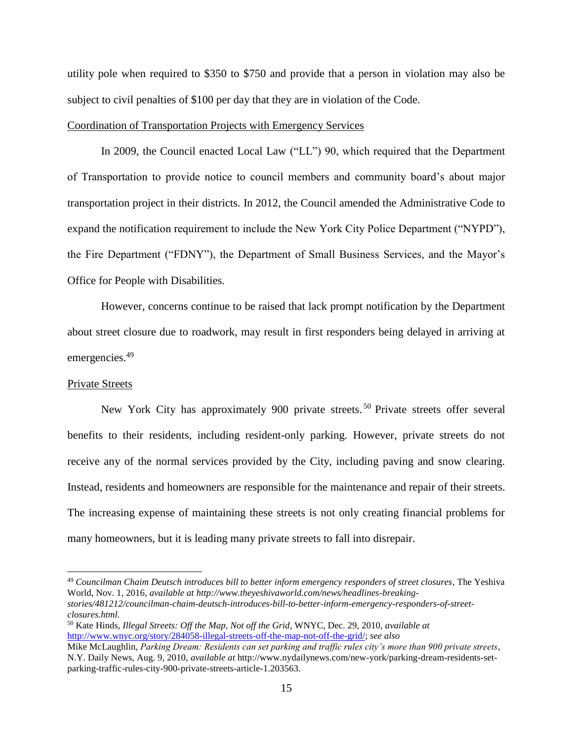utility pole when required to \$350 to \$750 and provide that a person in violation may also be subject to civil penalties of \$100 per day that they are in violation of the Code.

## Coordination of Transportation Projects with Emergency Services

In 2009, the Council enacted Local Law ("LL") 90, which required that the Department of Transportation to provide notice to council members and community board's about major transportation project in their districts. In 2012, the Council amended the Administrative Code to expand the notification requirement to include the New York City Police Department ("NYPD"), the Fire Department ("FDNY"), the Department of Small Business Services, and the Mayor's Office for People with Disabilities.

However, concerns continue to be raised that lack prompt notification by the Department about street closure due to roadwork, may result in first responders being delayed in arriving at emergencies.<sup>49</sup>

## Private Streets

 $\overline{\phantom{a}}$ 

New York City has approximately 900 private streets. <sup>50</sup> Private streets offer several benefits to their residents, including resident-only parking. However, private streets do not receive any of the normal services provided by the City, including paving and snow clearing. Instead, residents and homeowners are responsible for the maintenance and repair of their streets. The increasing expense of maintaining these streets is not only creating financial problems for many homeowners, but it is leading many private streets to fall into disrepair.

<sup>49</sup> *Councilman Chaim Deutsch introduces bill to better inform emergency responders of street closures*, The Yeshiva World, Nov. 1, 2016, *available at http://www.theyeshivaworld.com/news/headlines-breakingstories/481212/councilman-chaim-deutsch-introduces-bill-to-better-inform-emergency-responders-of-streetclosures.html.*

<sup>50</sup> Kate Hinds*, Illegal Streets: Off the Map, Not off the Grid*, WNYC, Dec. 29, 2010, *available at* [http://www.wnyc.org/story/284058-illegal-streets-off-the-map-not-off-the-grid/;](http://www.wnyc.org/story/284058-illegal-streets-off-the-map-not-off-the-grid/) *see also* 

Mike McLaughlin, *Parking Dream: Residents can set parking and traffic rules city's more than 900 private streets*, N.Y. Daily News, Aug. 9, 2010, *available at* http://www.nydailynews.com/new-york/parking-dream-residents-setparking-traffic-rules-city-900-private-streets-article-1.203563.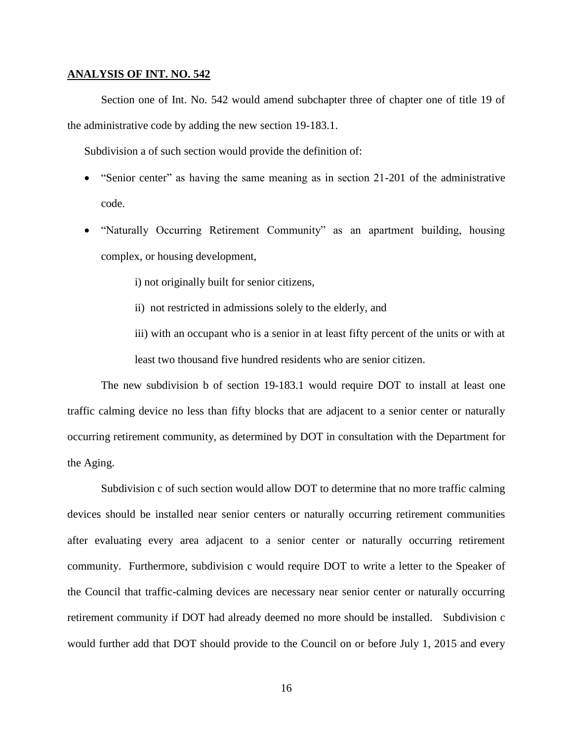#### **ANALYSIS OF INT. NO. 542**

Section one of Int. No. 542 would amend subchapter three of chapter one of title 19 of the administrative code by adding the new section 19-183.1.

Subdivision a of such section would provide the definition of:

- "Senior center" as having the same meaning as in section 21-201 of the administrative code.
- "Naturally Occurring Retirement Community" as an apartment building, housing complex, or housing development,
	- i) not originally built for senior citizens,
	- ii) not restricted in admissions solely to the elderly, and
	- iii) with an occupant who is a senior in at least fifty percent of the units or with at least two thousand five hundred residents who are senior citizen.

The new subdivision b of section 19-183.1 would require DOT to install at least one traffic calming device no less than fifty blocks that are adjacent to a senior center or naturally occurring retirement community, as determined by DOT in consultation with the Department for the Aging.

Subdivision c of such section would allow DOT to determine that no more traffic calming devices should be installed near senior centers or naturally occurring retirement communities after evaluating every area adjacent to a senior center or naturally occurring retirement community. Furthermore, subdivision c would require DOT to write a letter to the Speaker of the Council that traffic-calming devices are necessary near senior center or naturally occurring retirement community if DOT had already deemed no more should be installed. Subdivision c would further add that DOT should provide to the Council on or before July 1, 2015 and every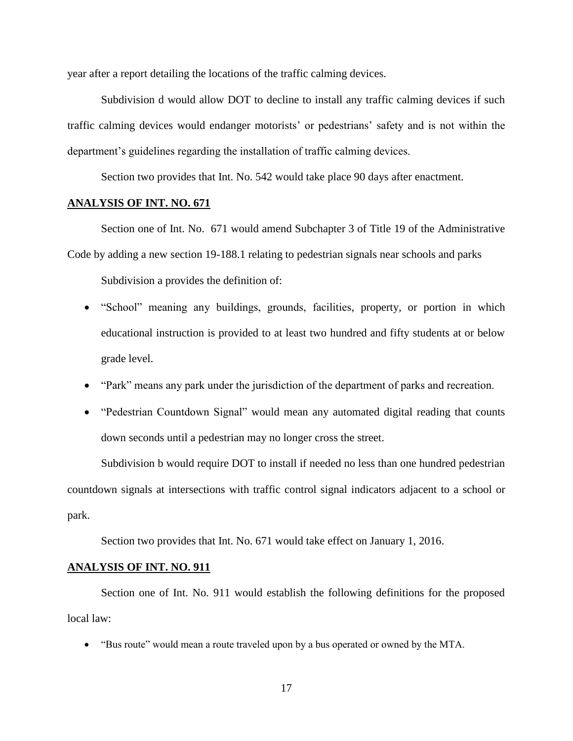year after a report detailing the locations of the traffic calming devices.

Subdivision d would allow DOT to decline to install any traffic calming devices if such traffic calming devices would endanger motorists' or pedestrians' safety and is not within the department's guidelines regarding the installation of traffic calming devices.

Section two provides that Int. No. 542 would take place 90 days after enactment.

# **ANALYSIS OF INT. NO. 671**

Section one of Int. No. 671 would amend Subchapter 3 of Title 19 of the Administrative Code by adding a new section 19-188.1 relating to pedestrian signals near schools and parks

Subdivision a provides the definition of:

- "School" meaning any buildings, grounds, facilities, property, or portion in which educational instruction is provided to at least two hundred and fifty students at or below grade level.
- "Park" means any park under the jurisdiction of the department of parks and recreation.
- "Pedestrian Countdown Signal" would mean any automated digital reading that counts down seconds until a pedestrian may no longer cross the street.

Subdivision b would require DOT to install if needed no less than one hundred pedestrian countdown signals at intersections with traffic control signal indicators adjacent to a school or park.

Section two provides that Int. No. 671 would take effect on January 1, 2016.

## **ANALYSIS OF INT. NO. 911**

Section one of Int. No. 911 would establish the following definitions for the proposed local law:

"Bus route" would mean a route traveled upon by a bus operated or owned by the MTA.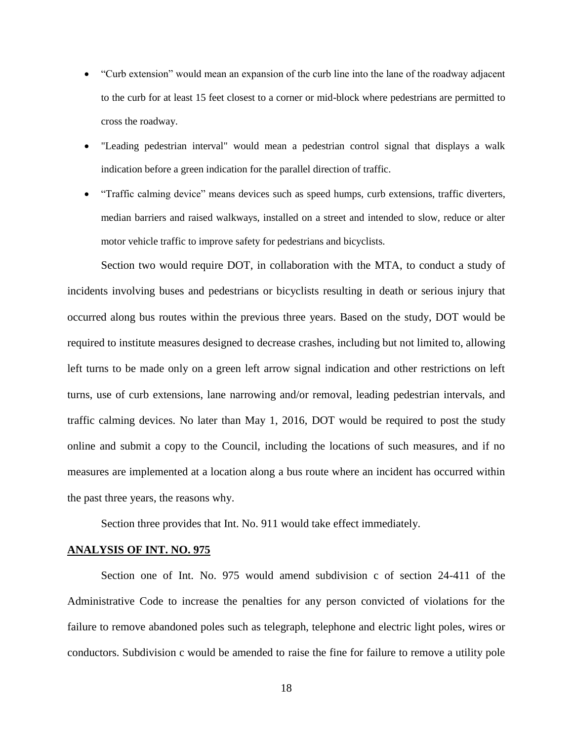- "Curb extension" would mean an expansion of the curb line into the lane of the roadway adjacent to the curb for at least 15 feet closest to a corner or mid-block where pedestrians are permitted to cross the roadway.
- "Leading pedestrian interval" would mean a pedestrian control signal that displays a walk indication before a green indication for the parallel direction of traffic.
- "Traffic calming device" means devices such as speed humps, curb extensions, traffic diverters, median barriers and raised walkways, installed on a street and intended to slow, reduce or alter motor vehicle traffic to improve safety for pedestrians and bicyclists.

Section two would require DOT, in collaboration with the MTA, to conduct a study of incidents involving buses and pedestrians or bicyclists resulting in death or serious injury that occurred along bus routes within the previous three years. Based on the study, DOT would be required to institute measures designed to decrease crashes, including but not limited to, allowing left turns to be made only on a green left arrow signal indication and other restrictions on left turns, use of curb extensions, lane narrowing and/or removal, leading pedestrian intervals, and traffic calming devices. No later than May 1, 2016, DOT would be required to post the study online and submit a copy to the Council, including the locations of such measures, and if no measures are implemented at a location along a bus route where an incident has occurred within the past three years, the reasons why.

Section three provides that Int. No. 911 would take effect immediately.

## **ANALYSIS OF INT. NO. 975**

Section one of Int. No. 975 would amend subdivision c of section 24-411 of the Administrative Code to increase the penalties for any person convicted of violations for the failure to remove abandoned poles such as telegraph, telephone and electric light poles, wires or conductors. Subdivision c would be amended to raise the fine for failure to remove a utility pole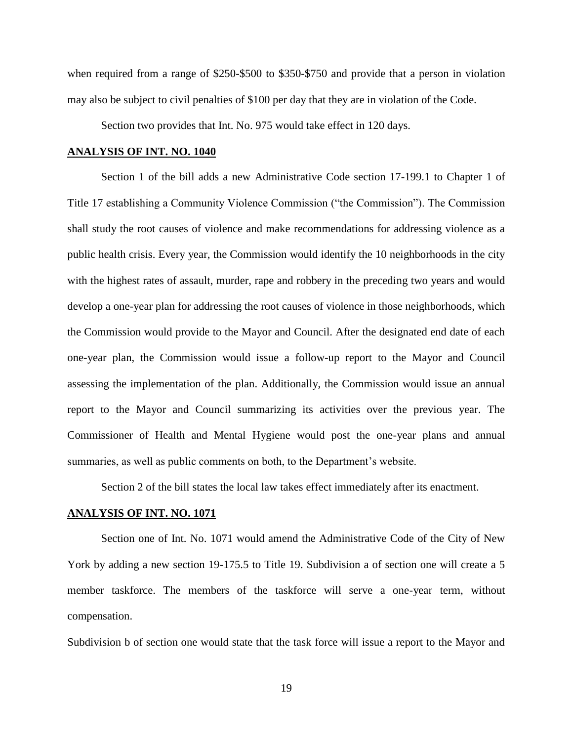when required from a range of \$250-\$500 to \$350-\$750 and provide that a person in violation may also be subject to civil penalties of \$100 per day that they are in violation of the Code.

Section two provides that Int. No. 975 would take effect in 120 days.

#### **ANALYSIS OF INT. NO. 1040**

Section 1 of the bill adds a new Administrative Code section 17-199.1 to Chapter 1 of Title 17 establishing a Community Violence Commission ("the Commission"). The Commission shall study the root causes of violence and make recommendations for addressing violence as a public health crisis. Every year, the Commission would identify the 10 neighborhoods in the city with the highest rates of assault, murder, rape and robbery in the preceding two years and would develop a one-year plan for addressing the root causes of violence in those neighborhoods, which the Commission would provide to the Mayor and Council. After the designated end date of each one-year plan, the Commission would issue a follow-up report to the Mayor and Council assessing the implementation of the plan. Additionally, the Commission would issue an annual report to the Mayor and Council summarizing its activities over the previous year. The Commissioner of Health and Mental Hygiene would post the one-year plans and annual summaries, as well as public comments on both, to the Department's website.

Section 2 of the bill states the local law takes effect immediately after its enactment.

#### **ANALYSIS OF INT. NO. 1071**

Section one of Int. No. 1071 would amend the Administrative Code of the City of New York by adding a new section 19-175.5 to Title 19. Subdivision a of section one will create a 5 member taskforce. The members of the taskforce will serve a one-year term, without compensation.

Subdivision b of section one would state that the task force will issue a report to the Mayor and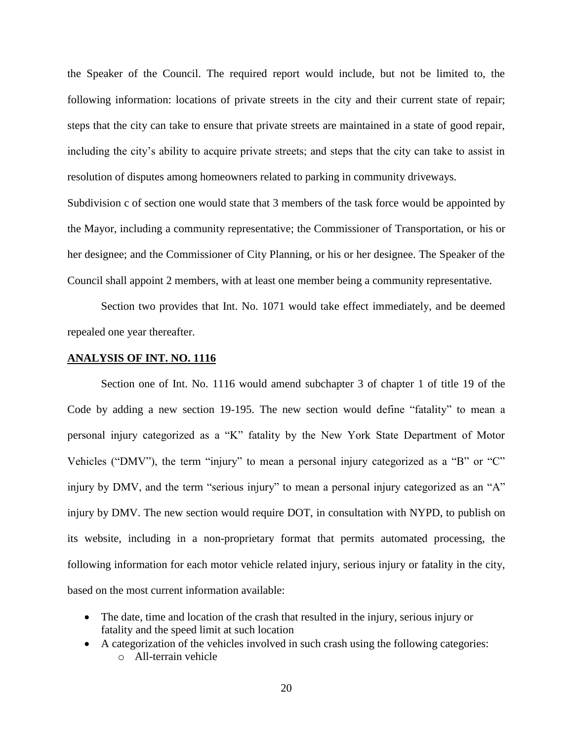the Speaker of the Council. The required report would include, but not be limited to, the following information: locations of private streets in the city and their current state of repair; steps that the city can take to ensure that private streets are maintained in a state of good repair, including the city's ability to acquire private streets; and steps that the city can take to assist in resolution of disputes among homeowners related to parking in community driveways.

Subdivision c of section one would state that 3 members of the task force would be appointed by the Mayor, including a community representative; the Commissioner of Transportation, or his or her designee; and the Commissioner of City Planning, or his or her designee. The Speaker of the Council shall appoint 2 members, with at least one member being a community representative.

Section two provides that Int. No. 1071 would take effect immediately, and be deemed repealed one year thereafter.

## **ANALYSIS OF INT. NO. 1116**

Section one of Int. No. 1116 would amend subchapter 3 of chapter 1 of title 19 of the Code by adding a new section 19-195. The new section would define "fatality" to mean a personal injury categorized as a "K" fatality by the New York State Department of Motor Vehicles ("DMV"), the term "injury" to mean a personal injury categorized as a "B" or "C" injury by DMV, and the term "serious injury" to mean a personal injury categorized as an "A" injury by DMV. The new section would require DOT, in consultation with NYPD, to publish on its website, including in a non-proprietary format that permits automated processing, the following information for each motor vehicle related injury, serious injury or fatality in the city, based on the most current information available:

- The date, time and location of the crash that resulted in the injury, serious injury or fatality and the speed limit at such location
- A categorization of the vehicles involved in such crash using the following categories: o All-terrain vehicle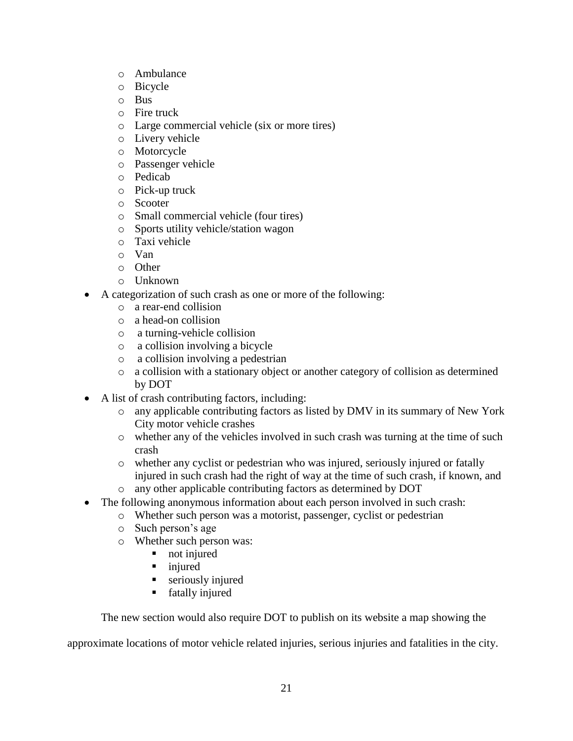- o Ambulance
- o Bicycle
- o Bus
- o Fire truck
- o Large commercial vehicle (six or more tires)
- o Livery vehicle
- o Motorcycle
- o Passenger vehicle
- o Pedicab
- o Pick-up truck
- o Scooter
- o Small commercial vehicle (four tires)
- o Sports utility vehicle/station wagon
- o Taxi vehicle
- o Van
- o Other
- o Unknown
- A categorization of such crash as one or more of the following:
	- o a rear-end collision
	- o a head-on collision
	- o a turning-vehicle collision
	- o a collision involving a bicycle
	- o a collision involving a pedestrian
	- o a collision with a stationary object or another category of collision as determined by DOT
- A list of crash contributing factors, including:
	- o any applicable contributing factors as listed by DMV in its summary of New York City motor vehicle crashes
	- o whether any of the vehicles involved in such crash was turning at the time of such crash
	- o whether any cyclist or pedestrian who was injured, seriously injured or fatally injured in such crash had the right of way at the time of such crash, if known, and
	- o any other applicable contributing factors as determined by DOT
- The following anonymous information about each person involved in such crash:
	- o Whether such person was a motorist, passenger, cyclist or pedestrian
	- o Such person's age
	- o Whether such person was:
		- not injured
		- injured
		- **seriously injured**
		- **fatally injured**

The new section would also require DOT to publish on its website a map showing the

approximate locations of motor vehicle related injuries, serious injuries and fatalities in the city.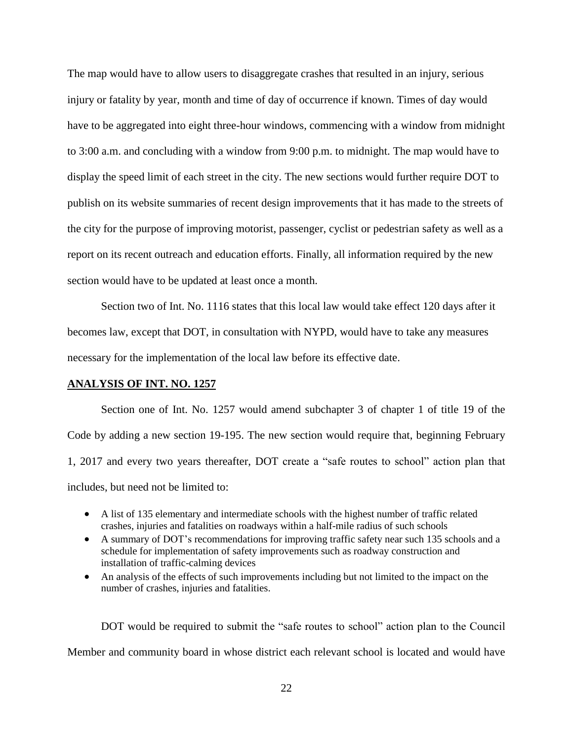The map would have to allow users to disaggregate crashes that resulted in an injury, serious injury or fatality by year, month and time of day of occurrence if known. Times of day would have to be aggregated into eight three-hour windows, commencing with a window from midnight to 3:00 a.m. and concluding with a window from 9:00 p.m. to midnight. The map would have to display the speed limit of each street in the city. The new sections would further require DOT to publish on its website summaries of recent design improvements that it has made to the streets of the city for the purpose of improving motorist, passenger, cyclist or pedestrian safety as well as a report on its recent outreach and education efforts. Finally, all information required by the new section would have to be updated at least once a month.

Section two of Int. No. 1116 states that this local law would take effect 120 days after it becomes law, except that DOT, in consultation with NYPD, would have to take any measures necessary for the implementation of the local law before its effective date.

## **ANALYSIS OF INT. NO. 1257**

Section one of Int. No. 1257 would amend subchapter 3 of chapter 1 of title 19 of the Code by adding a new section 19-195. The new section would require that, beginning February 1, 2017 and every two years thereafter, DOT create a "safe routes to school" action plan that includes, but need not be limited to:

- A list of 135 elementary and intermediate schools with the highest number of traffic related crashes, injuries and fatalities on roadways within a half-mile radius of such schools
- A summary of DOT's recommendations for improving traffic safety near such 135 schools and a schedule for implementation of safety improvements such as roadway construction and installation of traffic-calming devices
- An analysis of the effects of such improvements including but not limited to the impact on the number of crashes, injuries and fatalities.

DOT would be required to submit the "safe routes to school" action plan to the Council Member and community board in whose district each relevant school is located and would have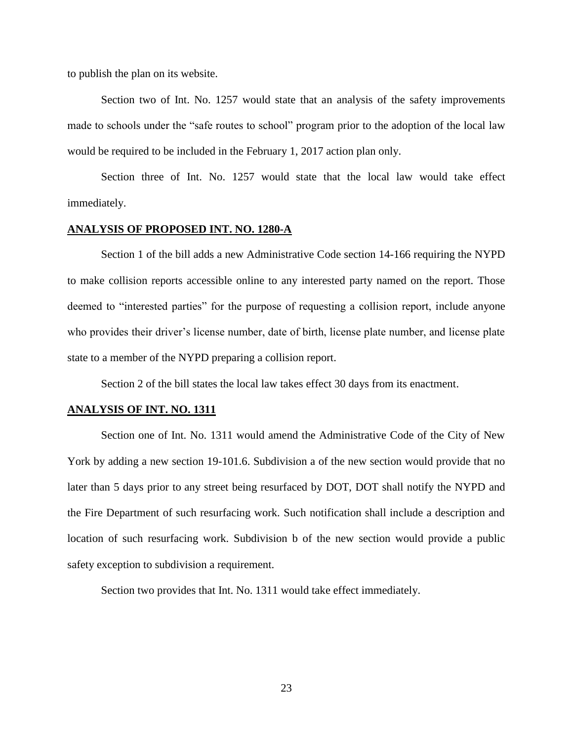to publish the plan on its website.

Section two of Int. No. 1257 would state that an analysis of the safety improvements made to schools under the "safe routes to school" program prior to the adoption of the local law would be required to be included in the February 1, 2017 action plan only.

Section three of Int. No. 1257 would state that the local law would take effect immediately.

### **ANALYSIS OF PROPOSED INT. NO. 1280-A**

Section 1 of the bill adds a new Administrative Code section 14-166 requiring the NYPD to make collision reports accessible online to any interested party named on the report. Those deemed to "interested parties" for the purpose of requesting a collision report, include anyone who provides their driver's license number, date of birth, license plate number, and license plate state to a member of the NYPD preparing a collision report.

Section 2 of the bill states the local law takes effect 30 days from its enactment.

#### **ANALYSIS OF INT. NO. 1311**

Section one of Int. No. 1311 would amend the Administrative Code of the City of New York by adding a new section 19-101.6. Subdivision a of the new section would provide that no later than 5 days prior to any street being resurfaced by DOT, DOT shall notify the NYPD and the Fire Department of such resurfacing work. Such notification shall include a description and location of such resurfacing work. Subdivision b of the new section would provide a public safety exception to subdivision a requirement.

Section two provides that Int. No. 1311 would take effect immediately.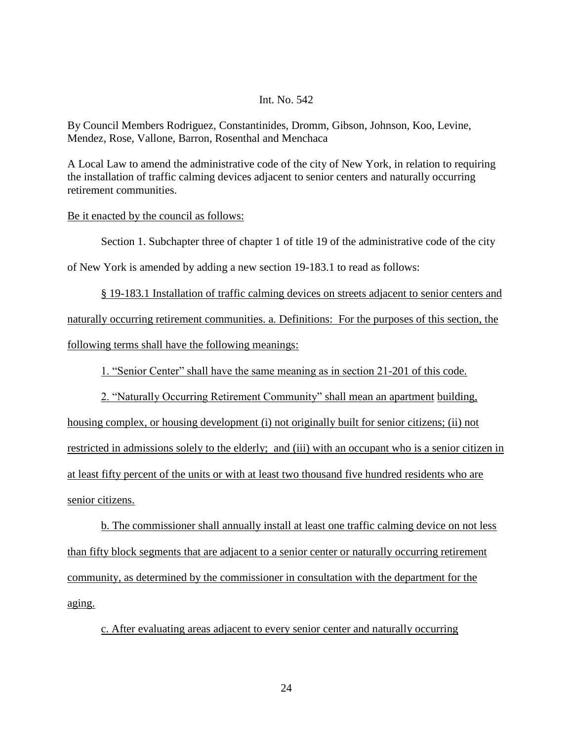By Council Members Rodriguez, Constantinides, Dromm, Gibson, Johnson, Koo, Levine, Mendez, Rose, Vallone, Barron, Rosenthal and Menchaca

A Local Law to amend the administrative code of the city of New York, in relation to requiring the installation of traffic calming devices adjacent to senior centers and naturally occurring retirement communities.

#### Be it enacted by the council as follows:

Section 1. Subchapter three of chapter 1 of title 19 of the administrative code of the city

of New York is amended by adding a new section 19-183.1 to read as follows:

§ 19-183.1 Installation of traffic calming devices on streets adjacent to senior centers and naturally occurring retirement communities. a. Definitions: For the purposes of this section, the following terms shall have the following meanings:

1. "Senior Center" shall have the same meaning as in section 21-201 of this code.

2. "Naturally Occurring Retirement Community" shall mean an apartment building,

housing complex, or housing development (i) not originally built for senior citizens; (ii) not restricted in admissions solely to the elderly; and (iii) with an occupant who is a senior citizen in at least fifty percent of the units or with at least two thousand five hundred residents who are senior citizens.

b. The commissioner shall annually install at least one traffic calming device on not less than fifty block segments that are adjacent to a senior center or naturally occurring retirement community, as determined by the commissioner in consultation with the department for the aging.

c. After evaluating areas adjacent to every senior center and naturally occurring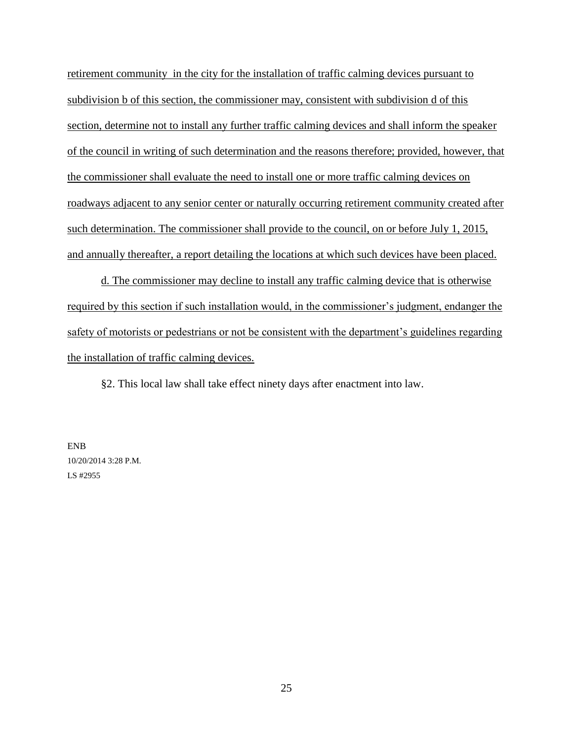retirement community in the city for the installation of traffic calming devices pursuant to subdivision b of this section, the commissioner may, consistent with subdivision d of this section, determine not to install any further traffic calming devices and shall inform the speaker of the council in writing of such determination and the reasons therefore; provided, however, that the commissioner shall evaluate the need to install one or more traffic calming devices on roadways adjacent to any senior center or naturally occurring retirement community created after such determination. The commissioner shall provide to the council, on or before July 1, 2015, and annually thereafter, a report detailing the locations at which such devices have been placed.

d. The commissioner may decline to install any traffic calming device that is otherwise required by this section if such installation would, in the commissioner's judgment, endanger the safety of motorists or pedestrians or not be consistent with the department's guidelines regarding the installation of traffic calming devices.

§2. This local law shall take effect ninety days after enactment into law.

ENB 10/20/2014 3:28 P.M. LS #2955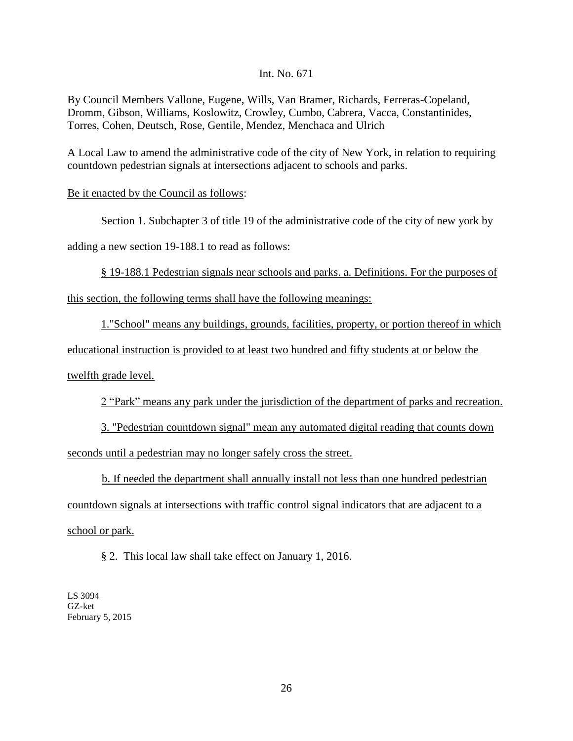By Council Members Vallone, Eugene, Wills, Van Bramer, Richards, Ferreras-Copeland, Dromm, Gibson, Williams, Koslowitz, Crowley, Cumbo, Cabrera, Vacca, Constantinides, Torres, Cohen, Deutsch, Rose, Gentile, Mendez, Menchaca and Ulrich

A Local Law to amend the administrative code of the city of New York, in relation to requiring countdown pedestrian signals at intersections adjacent to schools and parks.

## Be it enacted by the Council as follows:

Section 1. Subchapter 3 of title 19 of the administrative code of the city of new york by

adding a new section 19-188.1 to read as follows:

§ 19-188.1 Pedestrian signals near schools and parks. a. Definitions. For the purposes of

this section, the following terms shall have the following meanings:

1."School" means any buildings, grounds, facilities, property, or portion thereof in which

educational instruction is provided to at least two hundred and fifty students at or below the

twelfth grade level.

2 "Park" means any park under the jurisdiction of the department of parks and recreation.

3. "Pedestrian countdown signal" mean any automated digital reading that counts down seconds until a pedestrian may no longer safely cross the street.

b. If needed the department shall annually install not less than one hundred pedestrian countdown signals at intersections with traffic control signal indicators that are adjacent to a school or park.

§ 2. This local law shall take effect on January 1, 2016.

LS 3094 GZ-ket February 5, 2015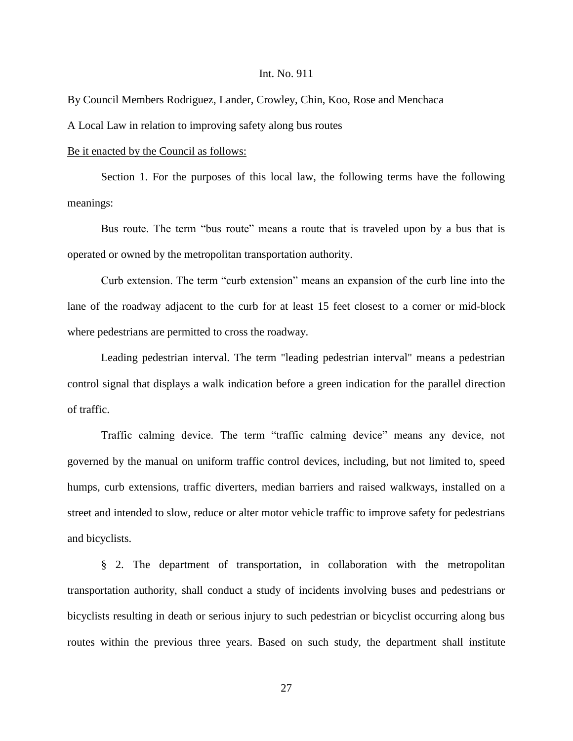By Council Members Rodriguez, Lander, Crowley, Chin, Koo, Rose and Menchaca

A Local Law in relation to improving safety along bus routes

#### Be it enacted by the Council as follows:

Section 1. For the purposes of this local law, the following terms have the following meanings:

Bus route. The term "bus route" means a route that is traveled upon by a bus that is operated or owned by the metropolitan transportation authority.

Curb extension. The term "curb extension" means an expansion of the curb line into the lane of the roadway adjacent to the curb for at least 15 feet closest to a corner or mid-block where pedestrians are permitted to cross the roadway.

Leading pedestrian interval. The term "leading pedestrian interval" means a pedestrian control signal that displays a walk indication before a green indication for the parallel direction of traffic.

Traffic calming device. The term "traffic calming device" means any device, not governed by the manual on uniform traffic control devices, including, but not limited to, speed humps, curb extensions, traffic diverters, median barriers and raised walkways, installed on a street and intended to slow, reduce or alter motor vehicle traffic to improve safety for pedestrians and bicyclists.

§ 2. The department of transportation, in collaboration with the metropolitan transportation authority, shall conduct a study of incidents involving buses and pedestrians or bicyclists resulting in death or serious injury to such pedestrian or bicyclist occurring along bus routes within the previous three years. Based on such study, the department shall institute

27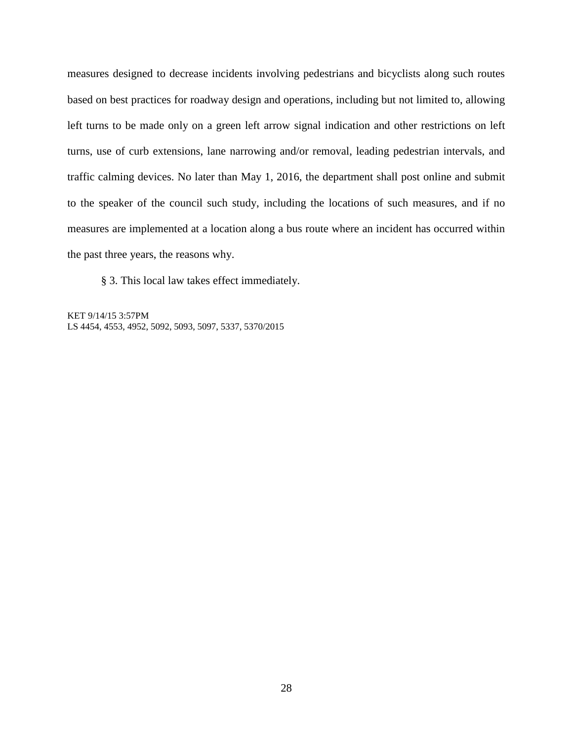measures designed to decrease incidents involving pedestrians and bicyclists along such routes based on best practices for roadway design and operations, including but not limited to, allowing left turns to be made only on a green left arrow signal indication and other restrictions on left turns, use of curb extensions, lane narrowing and/or removal, leading pedestrian intervals, and traffic calming devices. No later than May 1, 2016, the department shall post online and submit to the speaker of the council such study, including the locations of such measures, and if no measures are implemented at a location along a bus route where an incident has occurred within the past three years, the reasons why.

§ 3. This local law takes effect immediately.

KET 9/14/15 3:57PM LS 4454, 4553, 4952, 5092, 5093, 5097, 5337, 5370/2015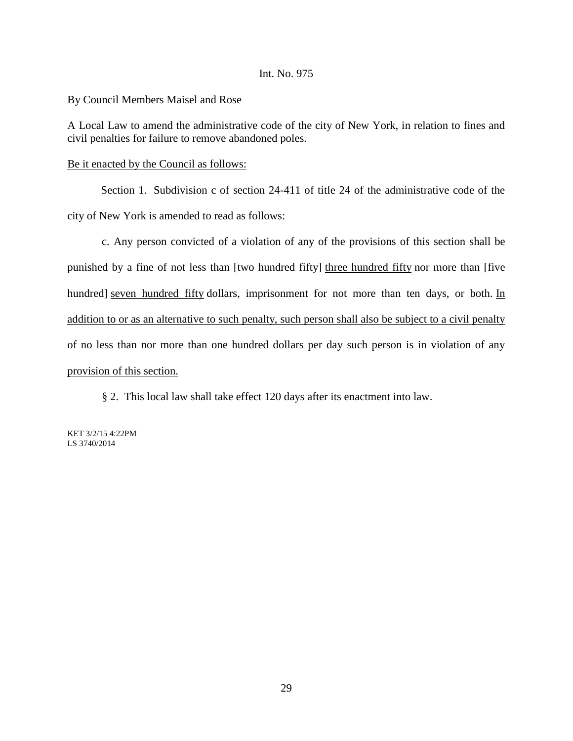By Council Members Maisel and Rose

A Local Law to amend the administrative code of the city of New York, in relation to fines and civil penalties for failure to remove abandoned poles.

## Be it enacted by the Council as follows:

Section 1. Subdivision c of section 24-411 of title 24 of the administrative code of the city of New York is amended to read as follows:

c. Any person convicted of a violation of any of the provisions of this section shall be punished by a fine of not less than [two hundred fifty] three hundred fifty nor more than [five hundred] seven hundred fifty dollars, imprisonment for not more than ten days, or both. In addition to or as an alternative to such penalty, such person shall also be subject to a civil penalty of no less than nor more than one hundred dollars per day such person is in violation of any provision of this section.

§ 2. This local law shall take effect 120 days after its enactment into law.

KET 3/2/15 4:22PM LS 3740/2014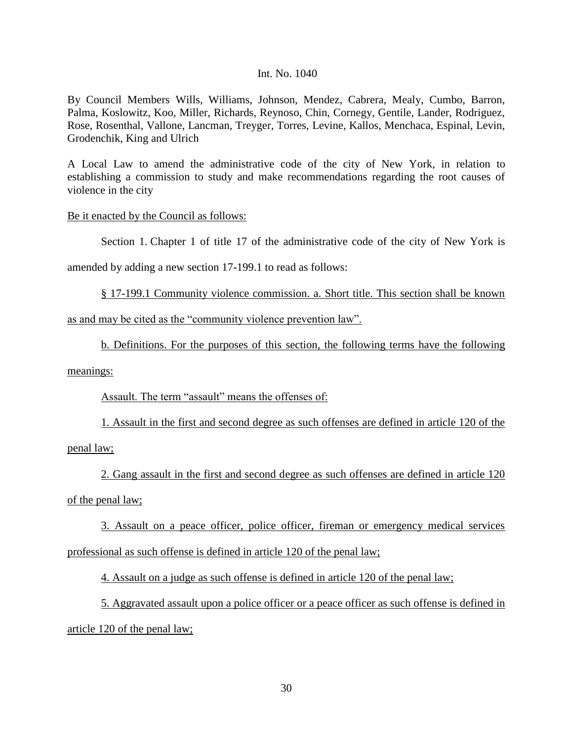By Council Members Wills, Williams, Johnson, Mendez, Cabrera, Mealy, Cumbo, Barron, Palma, Koslowitz, Koo, Miller, Richards, Reynoso, Chin, Cornegy, Gentile, Lander, Rodriguez, Rose, Rosenthal, Vallone, Lancman, Treyger, Torres, Levine, Kallos, Menchaca, Espinal, Levin, Grodenchik, King and Ulrich

A Local Law to amend the administrative code of the city of New York, in relation to establishing a commission to study and make recommendations regarding the root causes of violence in the city

## Be it enacted by the Council as follows:

Section 1. Chapter 1 of title 17 of the administrative code of the city of New York is

amended by adding a new section 17-199.1 to read as follows:

§ 17-199.1 Community violence commission. a. Short title. This section shall be known

as and may be cited as the "community violence prevention law".

b. Definitions. For the purposes of this section, the following terms have the following

meanings:

Assault. The term "assault" means the offenses of:

1. Assault in the first and second degree as such offenses are defined in article 120 of the penal law;

2. Gang assault in the first and second degree as such offenses are defined in article 120 of the penal law;

3. Assault on a peace officer, police officer, fireman or emergency medical services professional as such offense is defined in article 120 of the penal law;

4. Assault on a judge as such offense is defined in article 120 of the penal law;

5. Aggravated assault upon a police officer or a peace officer as such offense is defined in article 120 of the penal law;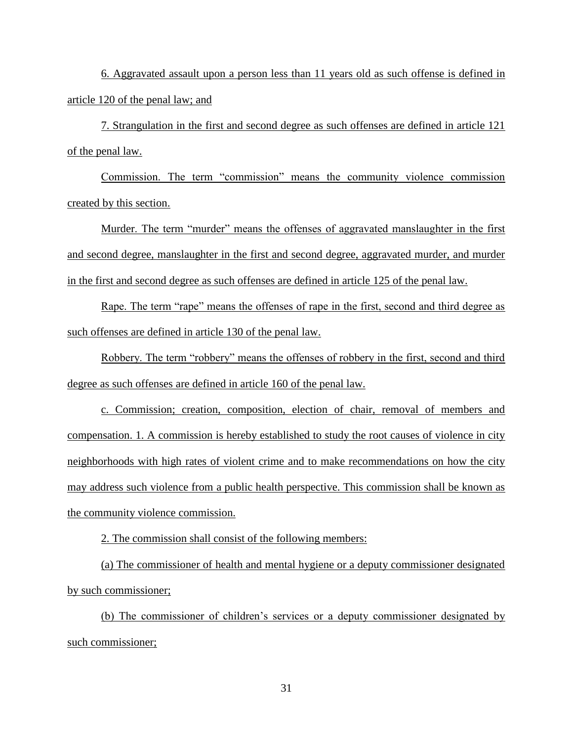6. Aggravated assault upon a person less than 11 years old as such offense is defined in article 120 of the penal law; and

7. Strangulation in the first and second degree as such offenses are defined in article 121 of the penal law.

Commission. The term "commission" means the community violence commission created by this section.

Murder. The term "murder" means the offenses of aggravated manslaughter in the first and second degree, manslaughter in the first and second degree, aggravated murder, and murder in the first and second degree as such offenses are defined in article 125 of the penal law.

Rape. The term "rape" means the offenses of rape in the first, second and third degree as such offenses are defined in article 130 of the penal law.

Robbery. The term "robbery" means the offenses of robbery in the first, second and third degree as such offenses are defined in article 160 of the penal law.

c. Commission; creation, composition, election of chair, removal of members and compensation. 1. A commission is hereby established to study the root causes of violence in city neighborhoods with high rates of violent crime and to make recommendations on how the city may address such violence from a public health perspective. This commission shall be known as the community violence commission.

2. The commission shall consist of the following members:

(a) The commissioner of health and mental hygiene or a deputy commissioner designated by such commissioner;

(b) The commissioner of children's services or a deputy commissioner designated by such commissioner;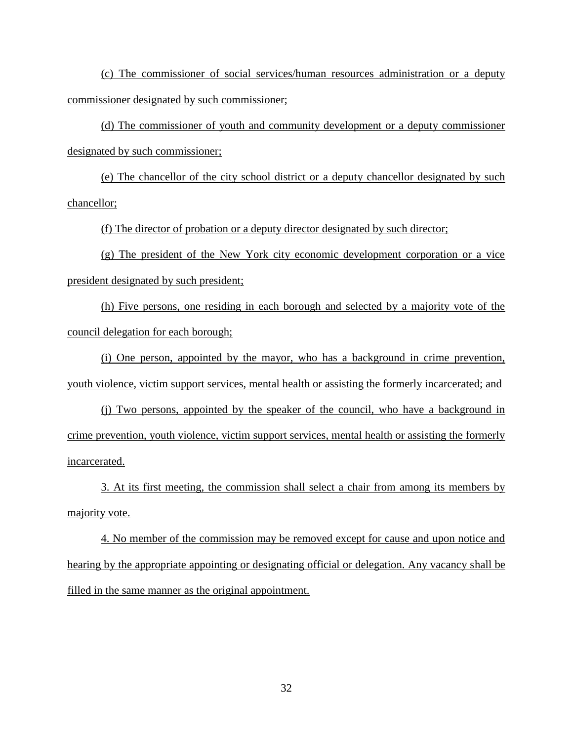(c) The commissioner of social services/human resources administration or a deputy commissioner designated by such commissioner;

(d) The commissioner of youth and community development or a deputy commissioner designated by such commissioner;

(e) The chancellor of the city school district or a deputy chancellor designated by such chancellor;

(f) The director of probation or a deputy director designated by such director;

(g) The president of the New York city economic development corporation or a vice president designated by such president;

(h) Five persons, one residing in each borough and selected by a majority vote of the council delegation for each borough;

(i) One person, appointed by the mayor, who has a background in crime prevention, youth violence, victim support services, mental health or assisting the formerly incarcerated; and

(j) Two persons, appointed by the speaker of the council, who have a background in crime prevention, youth violence, victim support services, mental health or assisting the formerly incarcerated.

3. At its first meeting, the commission shall select a chair from among its members by majority vote.

4. No member of the commission may be removed except for cause and upon notice and hearing by the appropriate appointing or designating official or delegation. Any vacancy shall be filled in the same manner as the original appointment.

32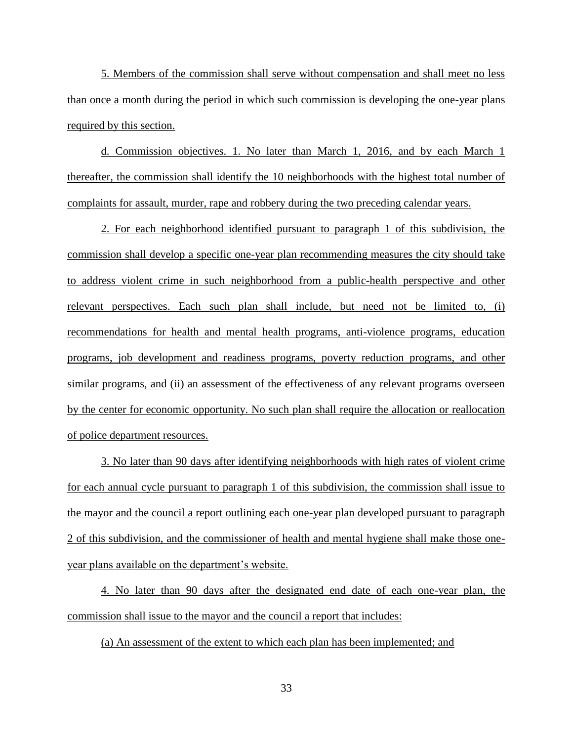5. Members of the commission shall serve without compensation and shall meet no less than once a month during the period in which such commission is developing the one-year plans required by this section.

d. Commission objectives. 1. No later than March 1, 2016, and by each March 1 thereafter, the commission shall identify the 10 neighborhoods with the highest total number of complaints for assault, murder, rape and robbery during the two preceding calendar years.

2. For each neighborhood identified pursuant to paragraph 1 of this subdivision, the commission shall develop a specific one-year plan recommending measures the city should take to address violent crime in such neighborhood from a public-health perspective and other relevant perspectives. Each such plan shall include, but need not be limited to, (i) recommendations for health and mental health programs, anti-violence programs, education programs, job development and readiness programs, poverty reduction programs, and other similar programs, and (ii) an assessment of the effectiveness of any relevant programs overseen by the center for economic opportunity. No such plan shall require the allocation or reallocation of police department resources.

3. No later than 90 days after identifying neighborhoods with high rates of violent crime for each annual cycle pursuant to paragraph 1 of this subdivision, the commission shall issue to the mayor and the council a report outlining each one-year plan developed pursuant to paragraph 2 of this subdivision, and the commissioner of health and mental hygiene shall make those oneyear plans available on the department's website.

4. No later than 90 days after the designated end date of each one-year plan, the commission shall issue to the mayor and the council a report that includes:

(a) An assessment of the extent to which each plan has been implemented; and

33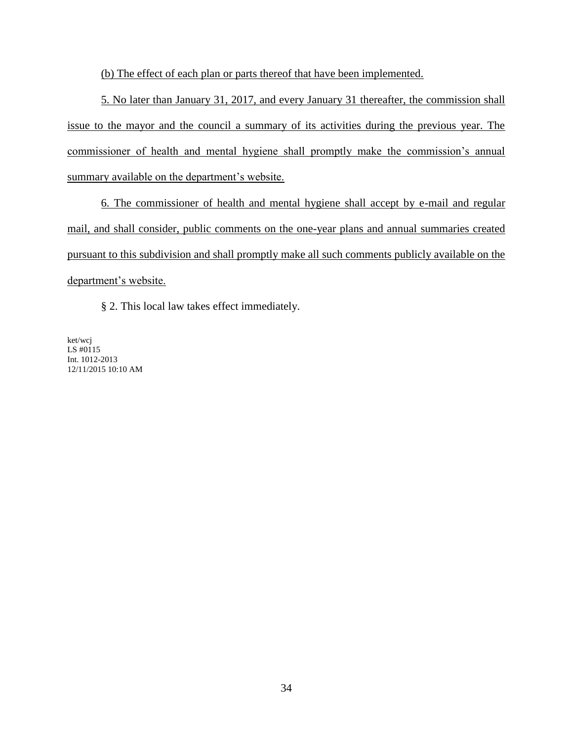(b) The effect of each plan or parts thereof that have been implemented.

5. No later than January 31, 2017, and every January 31 thereafter, the commission shall issue to the mayor and the council a summary of its activities during the previous year. The commissioner of health and mental hygiene shall promptly make the commission's annual summary available on the department's website.

6. The commissioner of health and mental hygiene shall accept by e-mail and regular mail, and shall consider, public comments on the one-year plans and annual summaries created pursuant to this subdivision and shall promptly make all such comments publicly available on the department's website.

§ 2. This local law takes effect immediately.

ket/wcj LS #0115 Int. 1012-2013 12/11/2015 10:10 AM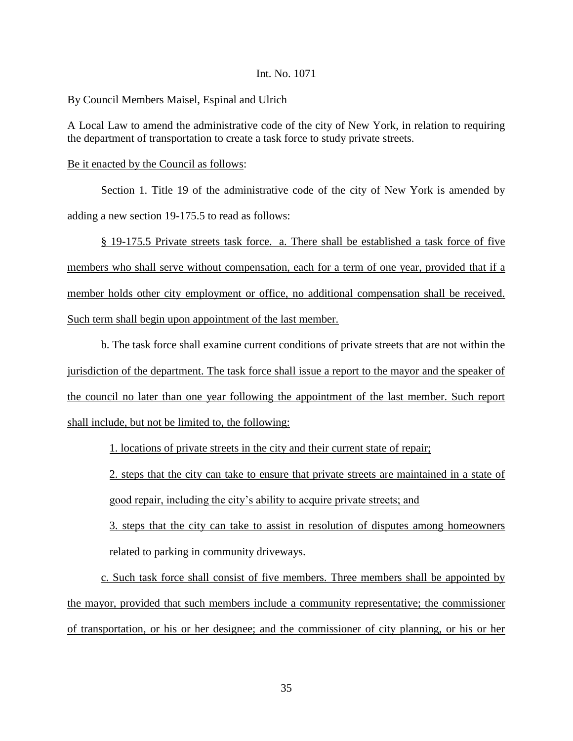By Council Members Maisel, Espinal and Ulrich

A Local Law to amend the administrative code of the city of New York, in relation to requiring the department of transportation to create a task force to study private streets.

#### Be it enacted by the Council as follows:

Section 1. Title 19 of the administrative code of the city of New York is amended by adding a new section 19-175.5 to read as follows:

§ 19-175.5 Private streets task force. a. There shall be established a task force of five members who shall serve without compensation, each for a term of one year, provided that if a member holds other city employment or office, no additional compensation shall be received. Such term shall begin upon appointment of the last member.

b. The task force shall examine current conditions of private streets that are not within the jurisdiction of the department. The task force shall issue a report to the mayor and the speaker of the council no later than one year following the appointment of the last member. Such report shall include, but not be limited to, the following:

1. locations of private streets in the city and their current state of repair;

2. steps that the city can take to ensure that private streets are maintained in a state of good repair, including the city's ability to acquire private streets; and

3. steps that the city can take to assist in resolution of disputes among homeowners related to parking in community driveways.

c. Such task force shall consist of five members. Three members shall be appointed by the mayor, provided that such members include a community representative; the commissioner of transportation, or his or her designee; and the commissioner of city planning, or his or her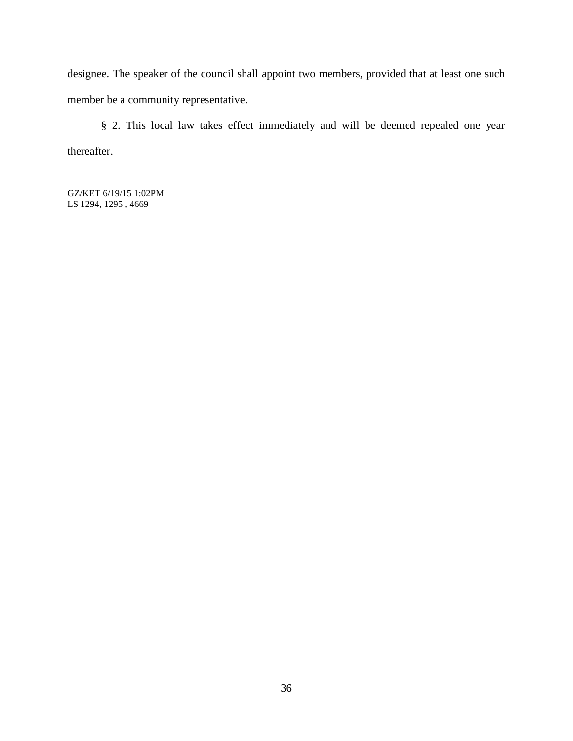designee. The speaker of the council shall appoint two members, provided that at least one such member be a community representative.

§ 2. This local law takes effect immediately and will be deemed repealed one year thereafter.

GZ/KET 6/19/15 1:02PM LS 1294, 1295 , 4669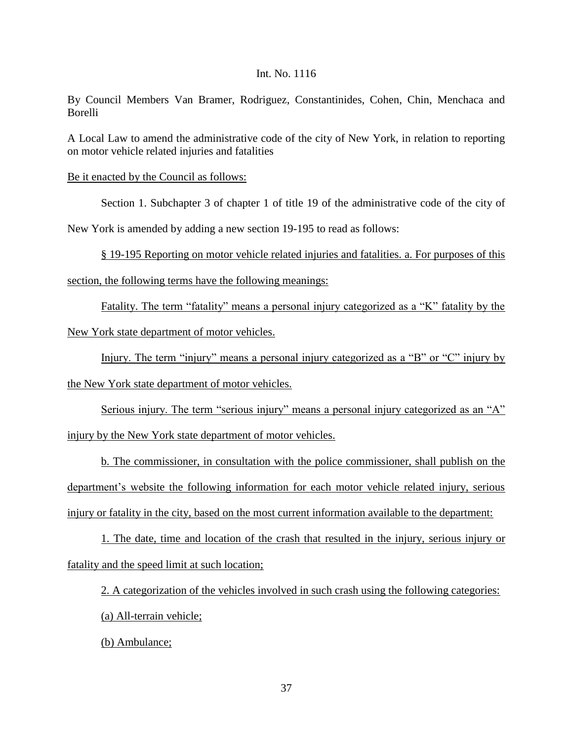By Council Members Van Bramer, Rodriguez, Constantinides, Cohen, Chin, Menchaca and Borelli

A Local Law to amend the administrative code of the city of New York, in relation to reporting on motor vehicle related injuries and fatalities

Be it enacted by the Council as follows:

Section 1. Subchapter 3 of chapter 1 of title 19 of the administrative code of the city of

New York is amended by adding a new section 19-195 to read as follows:

§ 19-195 Reporting on motor vehicle related injuries and fatalities. a. For purposes of this

section, the following terms have the following meanings:

Fatality. The term "fatality" means a personal injury categorized as a "K" fatality by the

New York state department of motor vehicles.

Injury. The term "injury" means a personal injury categorized as a "B" or "C" injury by the New York state department of motor vehicles.

Serious injury. The term "serious injury" means a personal injury categorized as an "A" injury by the New York state department of motor vehicles.

b. The commissioner, in consultation with the police commissioner, shall publish on the department's website the following information for each motor vehicle related injury, serious injury or fatality in the city, based on the most current information available to the department:

1. The date, time and location of the crash that resulted in the injury, serious injury or fatality and the speed limit at such location;

2. A categorization of the vehicles involved in such crash using the following categories: (a) All-terrain vehicle;

(b) Ambulance;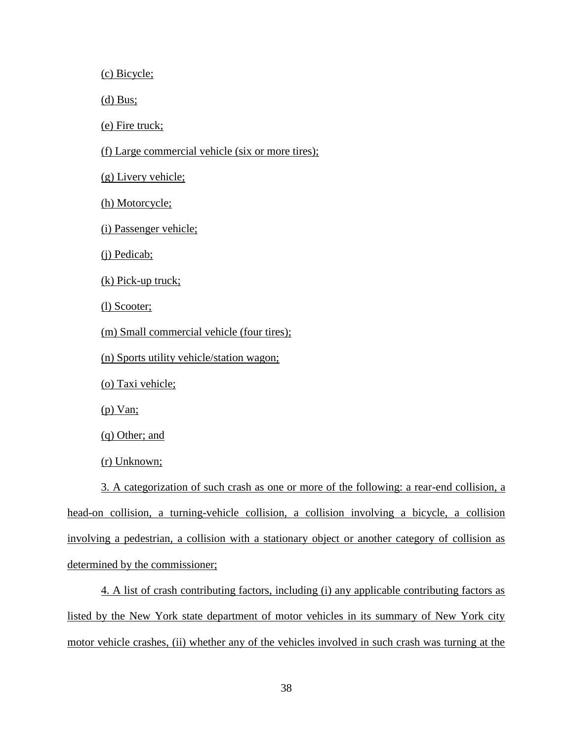(c) Bicycle;

(d) Bus;

(e) Fire truck;

(f) Large commercial vehicle (six or more tires);

(g) Livery vehicle;

(h) Motorcycle;

(i) Passenger vehicle;

(j) Pedicab;

(k) Pick-up truck;

(l) Scooter;

(m) Small commercial vehicle (four tires);

(n) Sports utility vehicle/station wagon;

(o) Taxi vehicle;

(p) Van;

(q) Other; and

(r) Unknown;

3. A categorization of such crash as one or more of the following: a rear-end collision, a head-on collision, a turning-vehicle collision, a collision involving a bicycle, a collision involving a pedestrian, a collision with a stationary object or another category of collision as determined by the commissioner;

4. A list of crash contributing factors, including (i) any applicable contributing factors as listed by the New York state department of motor vehicles in its summary of New York city motor vehicle crashes, (ii) whether any of the vehicles involved in such crash was turning at the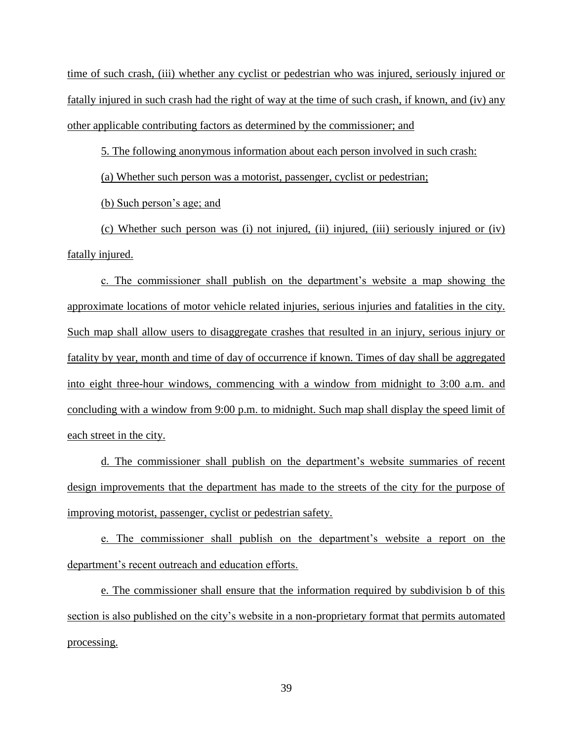time of such crash, (iii) whether any cyclist or pedestrian who was injured, seriously injured or fatally injured in such crash had the right of way at the time of such crash, if known, and (iv) any other applicable contributing factors as determined by the commissioner; and

5. The following anonymous information about each person involved in such crash:

(a) Whether such person was a motorist, passenger, cyclist or pedestrian;

(b) Such person's age; and

(c) Whether such person was (i) not injured, (ii) injured, (iii) seriously injured or (iv) fatally injured.

c. The commissioner shall publish on the department's website a map showing the approximate locations of motor vehicle related injuries, serious injuries and fatalities in the city. Such map shall allow users to disaggregate crashes that resulted in an injury, serious injury or fatality by year, month and time of day of occurrence if known. Times of day shall be aggregated into eight three-hour windows, commencing with a window from midnight to 3:00 a.m. and concluding with a window from 9:00 p.m. to midnight. Such map shall display the speed limit of each street in the city.

d. The commissioner shall publish on the department's website summaries of recent design improvements that the department has made to the streets of the city for the purpose of improving motorist, passenger, cyclist or pedestrian safety.

e. The commissioner shall publish on the department's website a report on the department's recent outreach and education efforts.

e. The commissioner shall ensure that the information required by subdivision b of this section is also published on the city's website in a non-proprietary format that permits automated processing.

39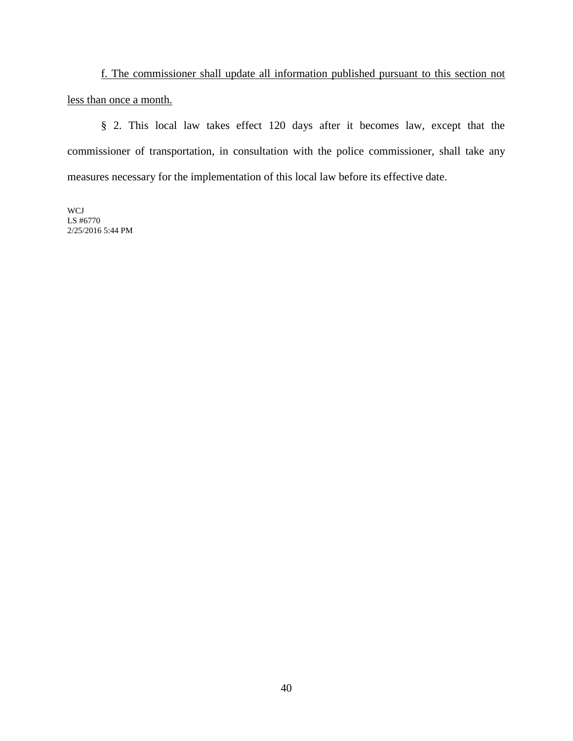f. The commissioner shall update all information published pursuant to this section not less than once a month.

§ 2. This local law takes effect 120 days after it becomes law, except that the commissioner of transportation, in consultation with the police commissioner, shall take any measures necessary for the implementation of this local law before its effective date.

WCJ LS #6770 2/25/2016 5:44 PM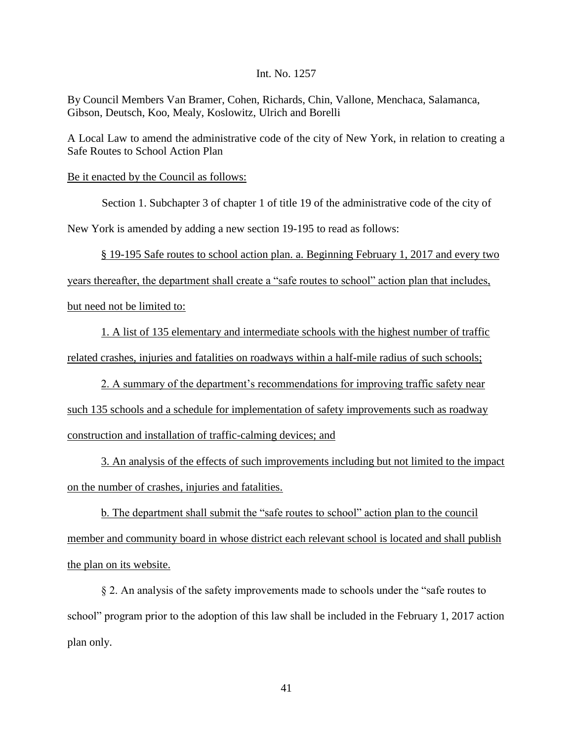By Council Members Van Bramer, Cohen, Richards, Chin, Vallone, Menchaca, Salamanca, Gibson, Deutsch, Koo, Mealy, Koslowitz, Ulrich and Borelli

A Local Law to amend the administrative code of the city of New York, in relation to creating a Safe Routes to School Action Plan

Be it enacted by the Council as follows:

Section 1. Subchapter 3 of chapter 1 of title 19 of the administrative code of the city of

New York is amended by adding a new section 19-195 to read as follows:

§ 19-195 Safe routes to school action plan. a. Beginning February 1, 2017 and every two

years thereafter, the department shall create a "safe routes to school" action plan that includes,

but need not be limited to:

1. A list of 135 elementary and intermediate schools with the highest number of traffic related crashes, injuries and fatalities on roadways within a half-mile radius of such schools;

2. A summary of the department's recommendations for improving traffic safety near such 135 schools and a schedule for implementation of safety improvements such as roadway construction and installation of traffic-calming devices; and

3. An analysis of the effects of such improvements including but not limited to the impact on the number of crashes, injuries and fatalities.

b. The department shall submit the "safe routes to school" action plan to the council member and community board in whose district each relevant school is located and shall publish the plan on its website.

§ 2. An analysis of the safety improvements made to schools under the "safe routes to school" program prior to the adoption of this law shall be included in the February 1, 2017 action plan only.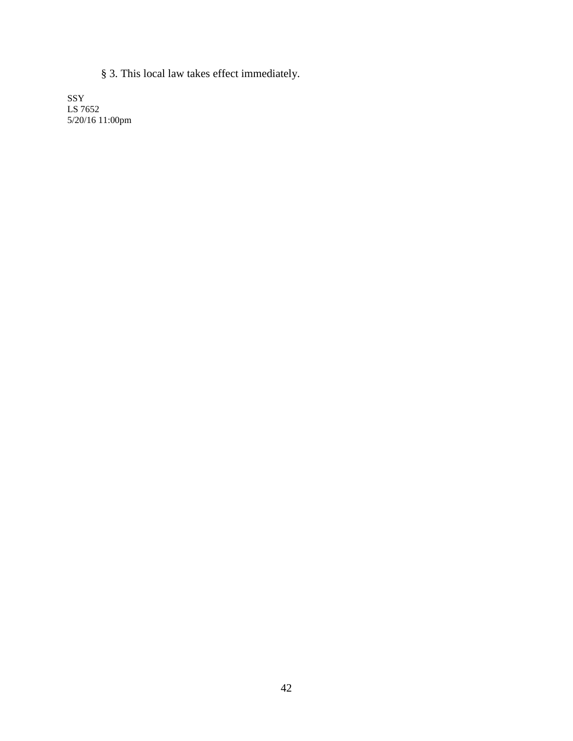§ 3. This local law takes effect immediately.

SSY LS 7652 5/20/16 11:00pm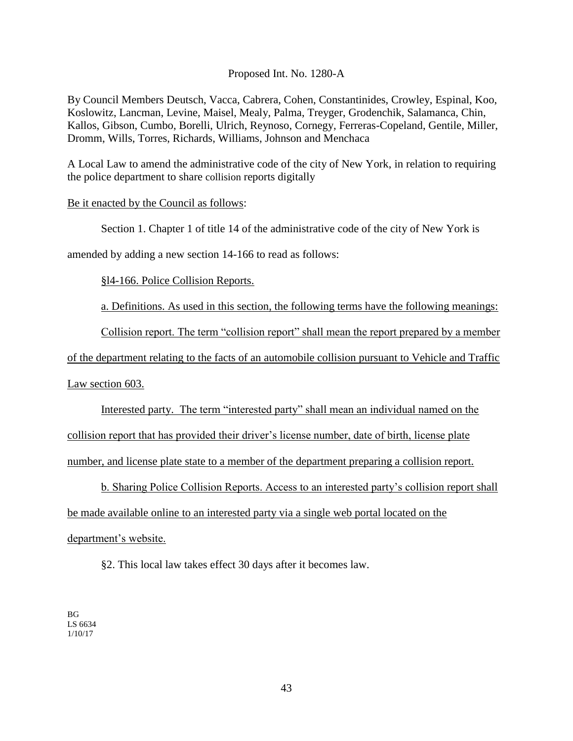# Proposed Int. No. 1280-A

By Council Members Deutsch, Vacca, Cabrera, Cohen, Constantinides, Crowley, Espinal, Koo, Koslowitz, Lancman, Levine, Maisel, Mealy, Palma, Treyger, Grodenchik, Salamanca, Chin, Kallos, Gibson, Cumbo, Borelli, Ulrich, Reynoso, Cornegy, Ferreras-Copeland, Gentile, Miller, Dromm, Wills, Torres, Richards, Williams, Johnson and Menchaca

A Local Law to amend the administrative code of the city of New York, in relation to requiring the police department to share collision reports digitally

#### Be it enacted by the Council as follows:

Section 1. Chapter 1 of title 14 of the administrative code of the city of New York is

amended by adding a new section 14-166 to read as follows:

§l4-166. Police Collision Reports.

a. Definitions. As used in this section, the following terms have the following meanings:

Collision report. The term "collision report" shall mean the report prepared by a member

of the department relating to the facts of an automobile collision pursuant to Vehicle and Traffic

Law section 603.

Interested party. The term "interested party" shall mean an individual named on the collision report that has provided their driver's license number, date of birth, license plate number, and license plate state to a member of the department preparing a collision report.

b. Sharing Police Collision Reports. Access to an interested party's collision report shall be made available online to an interested party via a single web portal located on the department's website.

§2. This local law takes effect 30 days after it becomes law.

BG LS 6634 1/10/17